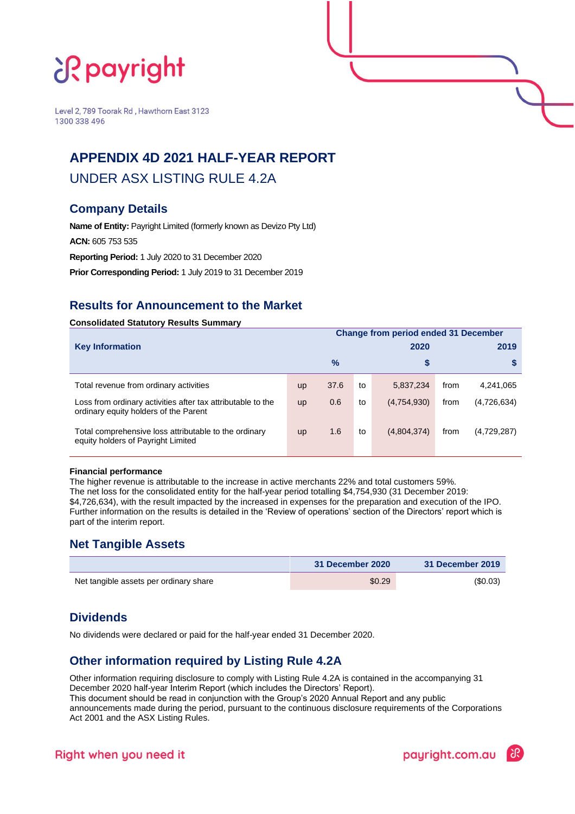# **if payright**

Level 2, 789 Toorak Rd, Hawthorn East 3123 1300 338 496

# **APPENDIX 4D 2021 HALF-YEAR REPORT**

# UNDER ASX LISTING RULE 4.2A

## **Company Details**

**Name of Entity: Payright Limited (formerly known as Devizo Pty Ltd) ACN:** 605 753 535 **Reporting Period:** 1 July 2020 to 31 December 2020 **Prior Corresponding Period:** 1 July 2019 to 31 December 2019

# **Results for Announcement to the Market**

## **Consolidated Statutory Results Summary**

|                                                                                                      | <b>Change from period ended 31 December</b> |      |    |             |      |             |
|------------------------------------------------------------------------------------------------------|---------------------------------------------|------|----|-------------|------|-------------|
| <b>Key Information</b>                                                                               |                                             |      |    | 2020        |      | 2019        |
|                                                                                                      |                                             | %    |    |             |      |             |
| Total revenue from ordinary activities                                                               | <b>up</b>                                   | 37.6 | to | 5,837,234   | from | 4,241,065   |
| Loss from ordinary activities after tax attributable to the<br>ordinary equity holders of the Parent | <b>up</b>                                   | 0.6  | to | (4,754,930) | from | (4,726,634) |
| Total comprehensive loss attributable to the ordinary<br>equity holders of Payright Limited          | <b>up</b>                                   | 1.6  | to | (4,804,374) | from | (4,729,287) |

#### **Financial performance**

The higher revenue is attributable to the increase in active merchants 22% and total customers 59%. The net loss for the consolidated entity for the half-year period totalling \$4,754,930 (31 December 2019: \$4,726,634), with the result impacted by the increased in expenses for the preparation and execution of the IPO. Further information on the results is detailed in the 'Review of operations' section of the Directors' report which is part of the interim report.

## **Net Tangible Assets**

|                                        | 31 December 2020 | 31 December 2019 |
|----------------------------------------|------------------|------------------|
| Net tangible assets per ordinary share | \$0.29           | (\$0.03)         |

## **Dividends**

No dividends were declared or paid for the half-year ended 31 December 2020.

# **Other information required by Listing Rule 4.2A**

Other information requiring disclosure to comply with Listing Rule 4.2A is contained in the accompanying 31 December 2020 half-year Interim Report (which includes the Directors' Report). This document should be read in conjunction with the Group's 2020 Annual Report and any public announcements made during the period, pursuant to the continuous disclosure requirements of the Corporations Act 2001 and the ASX Listing Rules.

payright.com.au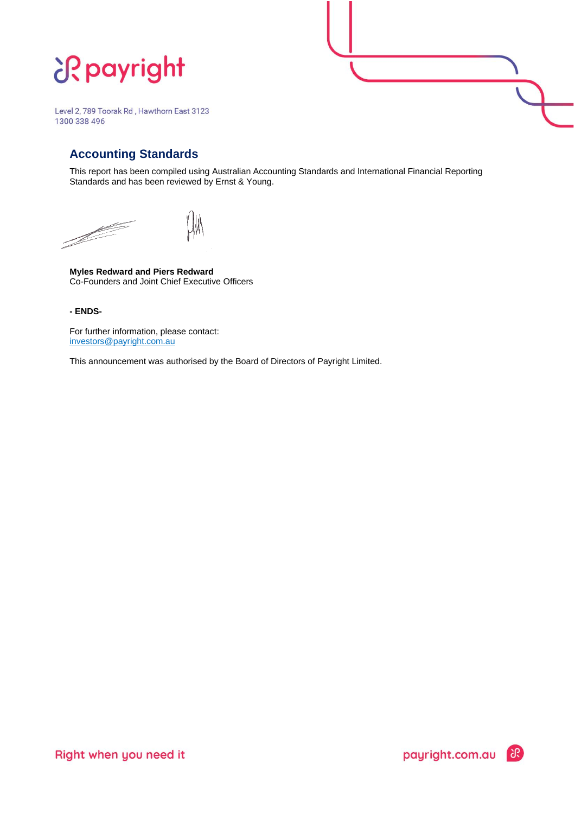# **J?payright**

Level 2, 789 Toorak Rd, Hawthorn East 3123 1300 338 496

# **Accounting Standards**

This report has been compiled using Australian Accounting Standards and International Financial Reporting Standards and has been reviewed by Ernst & Young.

payright.com.au

<u>Strong Contract on the Contract of the Contract of the Contract of the Contract of the Contract of the Contract of the Contract of the Contract of the Contract of the Contract of the Contract of the Contract of the Contra</u>

**Myles Redward and Piers Redward** Co-Founders and Joint Chief Executive Officers

**- ENDS-**

For further information, please contact: investors@payright.com.au

This announcement was authorised by the Board of Directors of Payright Limited.

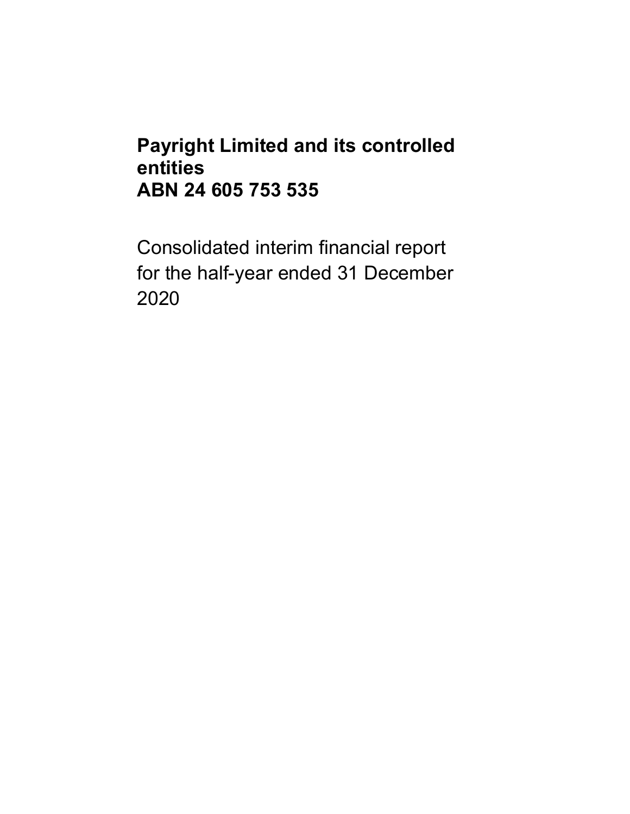# **Payright Limited and its controlled entities ABN 24 605 753 535**

Consolidated interim financial report for the half-year ended 31 December 2020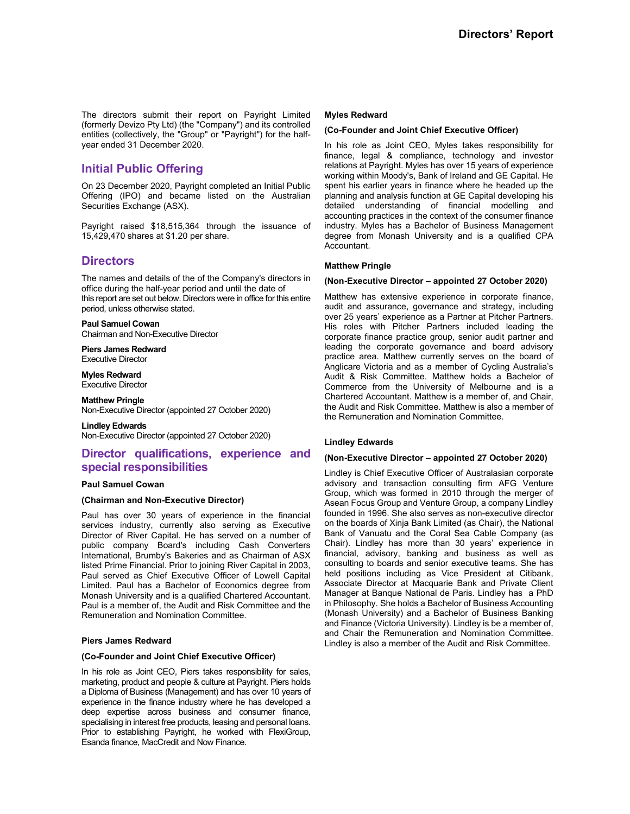The directors submit their report on Payright Limited (formerly Devizo Pty Ltd) (the "Company") and its controlled entities (collectively, the "Group" or "Payright") for the halfyear ended 31 December 2020.

## **Initial Public Offering**

On 23 December 2020, Payright completed an Initial Public Offering (IPO) and became listed on the Australian Securities Exchange (ASX).

Payright raised \$18,515,364 through the issuance of 15,429,470 shares at \$1.20 per share.

## **Directors**

The names and details of the of the Company's directors in office during the half-year period and until the date of this report are set out below. Directors were in office for this entire period, unless otherwise stated.

#### **Paul Samuel Cowan**  Chairman and Non-Executive Director

**Piers James Redward** 

Executive Director

**Myles Redward**  Executive Director

**Matthew Pringle**  Non-Executive Director (appointed 27 October 2020)

**Lindley Edwards** 

Non-Executive Director (appointed 27 October 2020)

## **Director qualifications, experience and special responsibilities**

#### **Paul Samuel Cowan**

#### **(Chairman and Non-Executive Director)**

Paul has over 30 years of experience in the financial services industry, currently also serving as Executive Director of River Capital. He has served on a number of public company Board's including Cash Converters International, Brumby's Bakeries and as Chairman of ASX listed Prime Financial. Prior to joining River Capital in 2003, Paul served as Chief Executive Officer of Lowell Capital Limited. Paul has a Bachelor of Economics degree from Monash University and is a qualified Chartered Accountant. Paul is a member of, the Audit and Risk Committee and the Remuneration and Nomination Committee.

#### **Piers James Redward**

#### **(Co-Founder and Joint Chief Executive Officer)**

In his role as Joint CEO, Piers takes responsibility for sales, marketing, product and people & culture at Payright. Piers holds a Diploma of Business (Management) and has over 10 years of experience in the finance industry where he has developed a deep expertise across business and consumer finance, specialising in interest free products, leasing and personal loans. Prior to establishing Payright, he worked with FlexiGroup, Esanda finance, MacCredit and Now Finance.

#### **Myles Redward**

#### **(Co-Founder and Joint Chief Executive Officer)**

In his role as Joint CEO, Myles takes responsibility for finance, legal & compliance, technology and investor relations at Payright. Myles has over 15 years of experience working within Moody's, Bank of Ireland and GE Capital. He spent his earlier years in finance where he headed up the planning and analysis function at GE Capital developing his detailed understanding of financial modelling and accounting practices in the context of the consumer finance industry. Myles has a Bachelor of Business Management degree from Monash University and is a qualified CPA Accountant.

#### **Matthew Pringle**

#### **(Non-Executive Director – appointed 27 October 2020)**

Matthew has extensive experience in corporate finance, audit and assurance, governance and strategy, including over 25 years' experience as a Partner at Pitcher Partners. His roles with Pitcher Partners included leading the corporate finance practice group, senior audit partner and leading the corporate governance and board advisory practice area. Matthew currently serves on the board of Anglicare Victoria and as a member of Cycling Australia's Audit & Risk Committee. Matthew holds a Bachelor of Commerce from the University of Melbourne and is a Chartered Accountant. Matthew is a member of, and Chair, the Audit and Risk Committee. Matthew is also a member of the Remuneration and Nomination Committee.

#### **Lindley Edwards**

#### **(Non-Executive Director – appointed 27 October 2020)**

Lindley is Chief Executive Officer of Australasian corporate advisory and transaction consulting firm AFG Venture Group, which was formed in 2010 through the merger of Asean Focus Group and Venture Group, a company Lindley founded in 1996. She also serves as non-executive director on the boards of Xinja Bank Limited (as Chair), the National Bank of Vanuatu and the Coral Sea Cable Company (as Chair). Lindley has more than 30 years' experience in financial, advisory, banking and business as well as consulting to boards and senior executive teams. She has held positions including as Vice President at Citibank, Associate Director at Macquarie Bank and Private Client Manager at Banque National de Paris. Lindley has a PhD in Philosophy. She holds a Bachelor of Business Accounting (Monash University) and a Bachelor of Business Banking and Finance (Victoria University). Lindley is be a member of, and Chair the Remuneration and Nomination Committee. Lindley is also a member of the Audit and Risk Committee.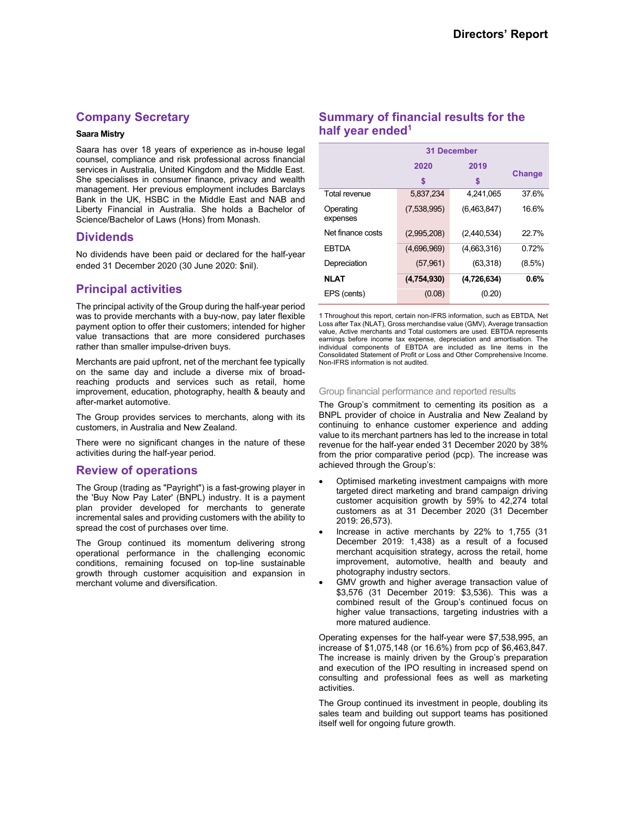## **Company Secretary**

#### **Saara Mistry**

Saara has over 18 years of experience as in-house legal counsel, compliance and risk professional across financial services in Australia, United Kingdom and the Middle East. She specialises in consumer finance, privacy and wealth management. Her previous employment includes Barclays Bank in the UK, HSBC in the Middle East and NAB and Liberty Financial in Australia. She holds a Bachelor of Science/Bachelor of Laws (Hons) from Monash.

## **Dividends**

No dividends have been paid or declared for the half-year ended 31 December 2020 (30 June 2020: \$nil).

## **Principal activities**

The principal activity of the Group during the half-year period was to provide merchants with a buy-now, pay later flexible payment option to offer their customers; intended for higher value transactions that are more considered purchases rather than smaller impulse-driven buys.

Merchants are paid upfront, net of the merchant fee typically on the same day and include a diverse mix of broadreaching products and services such as retail, home improvement, education, photography, health & beauty and after-market automotive.

The Group provides services to merchants, along with its customers, in Australia and New Zealand.

There were no significant changes in the nature of these activities during the half-year period.

## **Review of operations**

The Group (trading as "Payright") is a fast-growing player in the 'Buy Now Pay Later' (BNPL) industry. It is a payment plan provider developed for merchants to generate incremental sales and providing customers with the ability to spread the cost of purchases over time.

The Group continued its momentum delivering strong operational performance in the challenging economic conditions, remaining focused on top-line sustainable growth through customer acquisition and expansion in merchant volume and diversification.

## **Summary of financial results for the half year ended1**

|                       | <b>31 December</b> |             |               |
|-----------------------|--------------------|-------------|---------------|
|                       | 2020               | 2019        |               |
|                       | \$                 | \$          | <b>Change</b> |
| Total revenue         | 5,837,234          | 4.241.065   | 37.6%         |
| Operating<br>expenses | (7,538,995)        | (6,463,847) | 16.6%         |
| Net finance costs     | (2,995,208)        | (2,440,534) | 22.7%         |
| <b>FRTDA</b>          | (4,696,969)        | (4,663,316) | 0.72%         |
| Depreciation          | (57, 961)          | (63,318)    | $(8.5\%)$     |
| <b>NLAT</b>           | (4,754,930)        | (4,726,634) | 0.6%          |
| EPS (cents)           | (0.08)             | (0.20)      |               |

1 Throughout this report, certain non-IFRS information, such as FBTDA, Net Loss after Tax (NLAT), Gross merchandise value (GMV), Average transaction value, Active merchants and Total customers are used. EBTDA represents earnings before income tax expense, depreciation and amortisation. The individual components of EBTDA are included as line items in the Consolidated Statement of Profit or Loss and Other Comprehensive Income. Non-IFRS information is not audited.

#### Group financial performance and reported results

The Group's commitment to cementing its position as a BNPL provider of choice in Australia and New Zealand by continuing to enhance customer experience and adding value to its merchant partners has led to the increase in total revenue for the half-year ended 31 December 2020 by 38% from the prior comparative period (pcp). The increase was achieved through the Group's:

- Optimised marketing investment campaigns with more targeted direct marketing and brand campaign driving customer acquisition growth by 59% to 42,274 total customers as at 31 December 2020 (31 December 2019: 26,573).
- Increase in active merchants by 22% to 1,755 (31 December 2019: 1,438) as a result of a focused merchant acquisition strategy, across the retail, home improvement, automotive, health and beauty and photography industry sectors.
- GMV growth and higher average transaction value of \$3,576 (31 December 2019: \$3,536). This was a combined result of the Group's continued focus on higher value transactions, targeting industries with a more matured audience.

Operating expenses for the half-year were \$7,538,995, an increase of \$1,075,148 (or 16.6%) from pcp of \$6,463,847. The increase is mainly driven by the Group's preparation and execution of the IPO resulting in increased spend on consulting and professional fees as well as marketing activities.

The Group continued its investment in people, doubling its sales team and building out support teams has positioned itself well for ongoing future growth.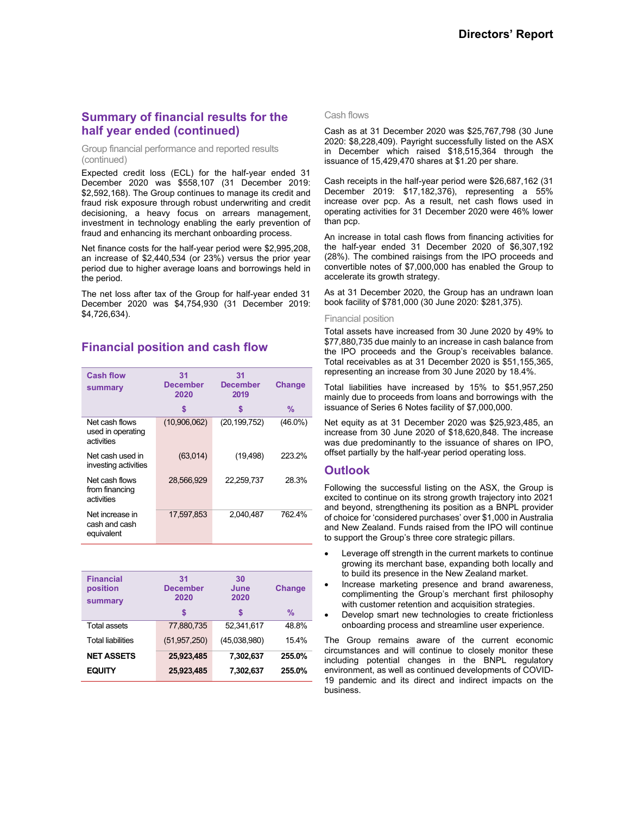## **Summary of financial results for the half year ended (continued)**

#### Group financial performance and reported results (continued)

Expected credit loss (ECL) for the half-year ended 31 December 2020 was \$558,107 (31 December 2019: \$2,592,168). The Group continues to manage its credit and fraud risk exposure through robust underwriting and credit decisioning, a heavy focus on arrears management, investment in technology enabling the early prevention of fraud and enhancing its merchant onboarding process.

Net finance costs for the half-year period were \$2,995,208, an increase of \$2,440,534 (or 23%) versus the prior year period due to higher average loans and borrowings held in the period.

The net loss after tax of the Group for half-year ended 31 December 2020 was \$4,754,930 (31 December 2019: \$4,726,634).

## **Financial position and cash flow**

| <b>Cash flow</b><br>summary                       | 31<br><b>December</b><br>2020 | 31<br><b>December</b><br>2019 | <b>Change</b> |
|---------------------------------------------------|-------------------------------|-------------------------------|---------------|
|                                                   | \$                            | S                             | $\frac{0}{0}$ |
| Net cash flows<br>used in operating<br>activities | (10,906,062)                  | (20, 199, 752)                | $(46.0\%)$    |
| Net cash used in<br>investing activities          | (63,014)                      | (19, 498)                     | 223.2%        |
| Net cash flows<br>from financing<br>activities    | 28,566,929                    | 22,259,737                    | 28.3%         |
| Net increase in<br>cash and cash<br>equivalent    | 17.597.853                    | 2.040.487                     | 762.4%        |

| <b>Financial</b><br>position<br>summary | 31<br><b>December</b><br>2020 | 30<br>June<br>2020 |               |
|-----------------------------------------|-------------------------------|--------------------|---------------|
|                                         | S                             | S                  | $\frac{9}{6}$ |
| Total assets                            | 77,880,735                    | 52.341.617         | 48.8%         |
| <b>Total liabilities</b>                | (51, 957, 250)                | (45,038,980)       | 15.4%         |
| <b>NET ASSETS</b>                       | 25,923,485                    | 7,302,637          | 255.0%        |
| <b>EQUITY</b>                           | 25,923,485                    | 7,302,637          | 255.0%        |

#### Cash flows

Cash as at 31 December 2020 was \$25,767,798 (30 June 2020: \$8,228,409). Payright successfully listed on the ASX in December which raised \$18,515,364 through the issuance of 15,429,470 shares at \$1.20 per share.

Cash receipts in the half-year period were \$26,687,162 (31 December 2019: \$17,182,376), representing a 55% increase over pcp. As a result, net cash flows used in operating activities for 31 December 2020 were 46% lower than pcp.

An increase in total cash flows from financing activities for the half-year ended 31 December 2020 of \$6,307,192 (28%). The combined raisings from the IPO proceeds and convertible notes of \$7,000,000 has enabled the Group to accelerate its growth strategy.

As at 31 December 2020, the Group has an undrawn loan book facility of \$781,000 (30 June 2020: \$281,375).

#### Financial position

Total assets have increased from 30 June 2020 by 49% to \$77,880,735 due mainly to an increase in cash balance from the IPO proceeds and the Group's receivables balance. Total receivables as at 31 December 2020 is \$51,155,365, representing an increase from 30 June 2020 by 18.4%.

Total liabilities have increased by 15% to \$51,957,250 mainly due to proceeds from loans and borrowings with the issuance of Series 6 Notes facility of \$7,000,000.

Net equity as at 31 December 2020 was \$25,923,485, an increase from 30 June 2020 of \$18,620,848. The increase was due predominantly to the issuance of shares on IPO, offset partially by the half-year period operating loss.

## **Outlook**

Following the successful listing on the ASX, the Group is excited to continue on its strong growth trajectory into 2021 and beyond, strengthening its position as a BNPL provider of choice for 'considered purchases' over \$1,000 in Australia and New Zealand. Funds raised from the IPO will continue to support the Group's three core strategic pillars.

- Leverage off strength in the current markets to continue growing its merchant base, expanding both locally and to build its presence in the New Zealand market.
- Increase marketing presence and brand awareness, complimenting the Group's merchant first philosophy with customer retention and acquisition strategies.
- Develop smart new technologies to create frictionless onboarding process and streamline user experience.

The Group remains aware of the current economic circumstances and will continue to closely monitor these including potential changes in the BNPL regulatory environment, as well as continued developments of COVID-19 pandemic and its direct and indirect impacts on the business.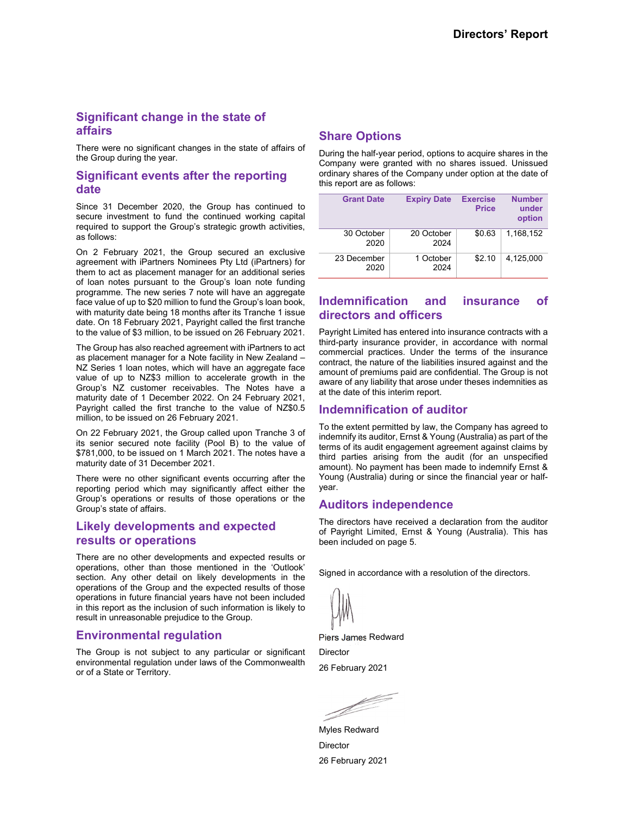## **Significant change in the state of affairs**

There were no significant changes in the state of affairs of the Group during the year.

## **Significant events after the reporting date**

Since 31 December 2020, the Group has continued to secure investment to fund the continued working capital required to support the Group's strategic growth activities, as follows:

On 2 February 2021, the Group secured an exclusive agreement with iPartners Nominees Pty Ltd (iPartners) for them to act as placement manager for an additional series of loan notes pursuant to the Group's loan note funding programme. The new series 7 note will have an aggregate face value of up to \$20 million to fund the Group's loan book, with maturity date being 18 months after its Tranche 1 issue date. On 18 February 2021, Payright called the first tranche to the value of \$3 million, to be issued on 26 February 2021.

The Group has also reached agreement with iPartners to act as placement manager for a Note facility in New Zealand – NZ Series 1 loan notes, which will have an aggregate face value of up to NZ\$3 million to accelerate growth in the Group's NZ customer receivables. The Notes have a maturity date of 1 December 2022. On 24 February 2021, Payright called the first tranche to the value of NZ\$0.5 million, to be issued on 26 February 2021.

On 22 February 2021, the Group called upon Tranche 3 of its senior secured note facility (Pool B) to the value of \$781,000, to be issued on 1 March 2021. The notes have a maturity date of 31 December 2021.

There were no other significant events occurring after the reporting period which may significantly affect either the Group's operations or results of those operations or the Group's state of affairs.

## **Likely developments and expected results or operations**

There are no other developments and expected results or operations, other than those mentioned in the 'Outlook' section. Any other detail on likely developments in the operations of the Group and the expected results of those operations in future financial years have not been included in this report as the inclusion of such information is likely to result in unreasonable prejudice to the Group.

## **Environmental regulation**

The Group is not subject to any particular or significant environmental regulation under laws of the Commonwealth or of a State or Territory.

## **Share Options**

During the half-year period, options to acquire shares in the Company were granted with no shares issued. Unissued ordinary shares of the Company under option at the date of this report are as follows:

| <b>Grant Date</b>   | <b>Expiry Date</b> | <b>Exercise</b><br><b>Price</b> | <b>Number</b><br>under<br>option |
|---------------------|--------------------|---------------------------------|----------------------------------|
| 30 October<br>2020  | 20 October<br>2024 | \$0.63                          | 1.168.152                        |
| 23 December<br>2020 | 1 October<br>2024  | \$2.10                          | 4.125.000                        |

## **Indemnification and insurance of directors and officers**

Payright Limited has entered into insurance contracts with a third-party insurance provider, in accordance with normal commercial practices. Under the terms of the insurance contract, the nature of the liabilities insured against and the amount of premiums paid are confidential. The Group is not aware of any liability that arose under theses indemnities as at the date of this interim report.

## **Indemnification of auditor**

To the extent permitted by law, the Company has agreed to indemnify its auditor, Ernst & Young (Australia) as part of the terms of its audit engagement agreement against claims by third parties arising from the audit (for an unspecified amount). No payment has been made to indemnify Ernst & Young (Australia) during or since the financial year or halfyear.

## **Auditors independence**

The directors have received a declaration from the auditor of Payright Limited, Ernst & Young (Australia). This has been included on page 5.

Signed in accordance with a resolution of the directors.

Piers James Redward

**Director** 26 February 2021

Myles Redward **Director** 26 February 2021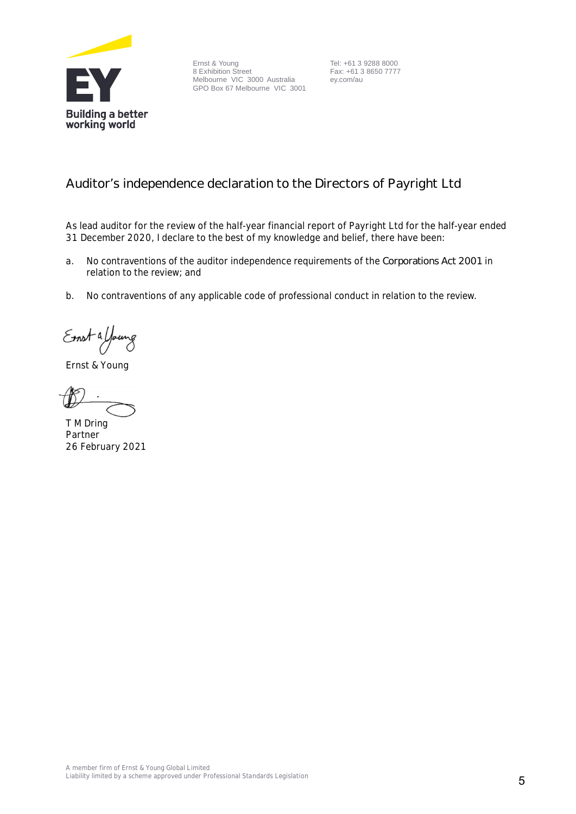

Ernst & Young 8 Exhibition Street Melbourne VIC 3000 Australia GPO Box 67 Melbourne VIC 3001 Tel: +61 3 9288 8000 Fax: +61 3 8650 7777 ey.com/au

# **Auditor's independence declaration to the Directors of Payright Ltd**

As lead auditor for the review of the half-year financial report of Payright Ltd for the half-year ended 31 December 2020, I declare to the best of my knowledge and belief, there have been:

- a. No contraventions of the auditor independence requirements of the *Corporations Act 2001* in relation to the review; and
- b. No contraventions of any applicable code of professional conduct in relation to the review.

Ernst a Young

Ernst & Young

T M Dring Partner 26 February 2021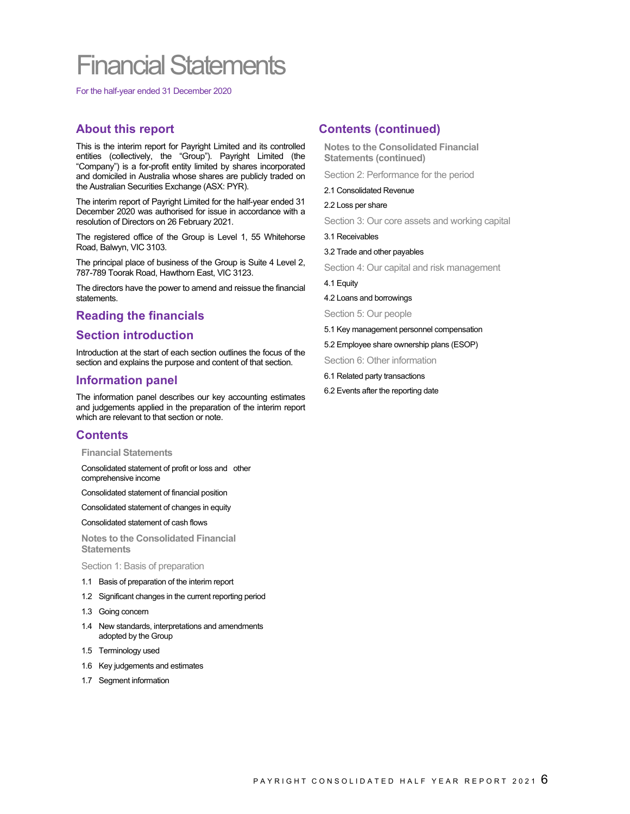# Financial Statements

For the half-year ended 31 December 2020

## **About this report**

This is the interim report for Payright Limited and its controlled entities (collectively, the "Group"). Payright Limited (the "Company") is a for-profit entity limited by shares incorporated and domiciled in Australia whose shares are publicly traded on the Australian Securities Exchange (ASX: PYR).

The interim report of Payright Limited for the half-year ended 31 December 2020 was authorised for issue in accordance with a resolution of Directors on 26 February 2021.

The registered office of the Group is Level 1, 55 Whitehorse Road, Balwyn, VIC 3103.

The principal place of business of the Group is Suite 4 Level 2, 787-789 Toorak Road, Hawthorn East, VIC 3123.

The directors have the power to amend and reissue the financial statements.

## **Reading the financials**

## **Section introduction**

Introduction at the start of each section outlines the focus of the section and explains the purpose and content of that section.

## **Information panel**

The information panel describes our key accounting estimates and judgements applied in the preparation of the interim report which are relevant to that section or note.

## **Contents**

**Financial Statements**

Consolidated statement of profit or loss and other comprehensive income

Consolidated statement of financial position

Consolidated statement of changes in equity

Consolidated statement of cash flows

**Notes to the Consolidated Financial Statements** 

Section 1: Basis of preparation

- 1.1 Basis of preparation of the interim report
- 1.2 Significant changes in the current reporting period
- 1.3 Going concern
- 1.4 New standards, interpretations and amendments adopted by the Group
- 1.5 Terminology used
- 1.6 Key judgements and estimates
- 1.7 Segment information

## **Contents (continued)**

**Notes to the Consolidated Financial Statements (continued)**

Section 2: Performance for the period

2.1 Consolidated Revenue

- 2.2 Loss per share
- Section 3: Our core assets and working capital

3.1 Receivables

3.2 Trade and other payables

Section 4: Our capital and risk management

4.1 Equity

4.2 Loans and borrowings

Section 5: Our people

- 5.1 Key management personnel compensation
- 5.2 Employee share ownership plans (ESOP)

Section 6: Other information

- 6.1 Related party transactions
- 6.2 Events after the reporting date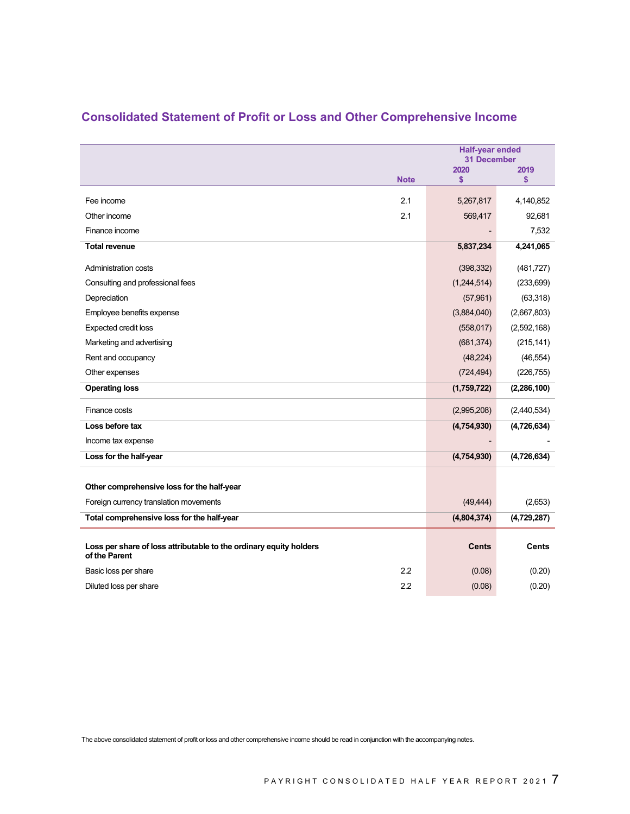|                                                                                     |             | <b>Half-year ended</b><br><b>31 December</b> |               |
|-------------------------------------------------------------------------------------|-------------|----------------------------------------------|---------------|
|                                                                                     |             | 2020                                         | 2019          |
|                                                                                     | <b>Note</b> | \$                                           | \$            |
| Fee income                                                                          | 2.1         | 5,267,817                                    | 4,140,852     |
| Other income                                                                        | 2.1         | 569,417                                      | 92,681        |
| Finance income                                                                      |             |                                              | 7,532         |
| <b>Total revenue</b>                                                                |             | 5,837,234                                    | 4,241,065     |
| Administration costs                                                                |             | (398, 332)                                   | (481, 727)    |
| Consulting and professional fees                                                    |             | (1,244,514)                                  | (233, 699)    |
| Depreciation                                                                        |             | (57, 961)                                    | (63, 318)     |
| Employee benefits expense                                                           |             | (3,884,040)                                  | (2,667,803)   |
| <b>Expected credit loss</b>                                                         |             | (558, 017)                                   | (2,592,168)   |
| Marketing and advertising                                                           |             | (681, 374)                                   | (215, 141)    |
| Rent and occupancy                                                                  |             | (48, 224)                                    | (46, 554)     |
| Other expenses                                                                      |             | (724, 494)                                   | (226, 755)    |
| <b>Operating loss</b>                                                               |             | (1,759,722)                                  | (2, 286, 100) |
| Finance costs                                                                       |             | (2,995,208)                                  | (2,440,534)   |
| Loss before tax                                                                     |             | (4,754,930)                                  | (4,726,634)   |
| Income tax expense                                                                  |             |                                              |               |
| Loss for the half-year                                                              |             | (4,754,930)                                  | (4,726,634)   |
|                                                                                     |             |                                              |               |
| Other comprehensive loss for the half-year                                          |             |                                              |               |
| Foreign currency translation movements                                              |             | (49, 444)                                    | (2,653)       |
| Total comprehensive loss for the half-year                                          |             | (4,804,374)                                  | (4,729,287)   |
|                                                                                     |             |                                              |               |
| Loss per share of loss attributable to the ordinary equity holders<br>of the Parent |             | <b>Cents</b>                                 | Cents         |
| Basic loss per share                                                                | 2.2         | (0.08)                                       | (0.20)        |
| Diluted loss per share                                                              | 2.2         | (0.08)                                       | (0.20)        |

# **Consolidated Statement of Profit or Loss and Other Comprehensive Income**

The above consolidated statement of profit or loss and other comprehensive income should be read in conjunction with the accompanying notes.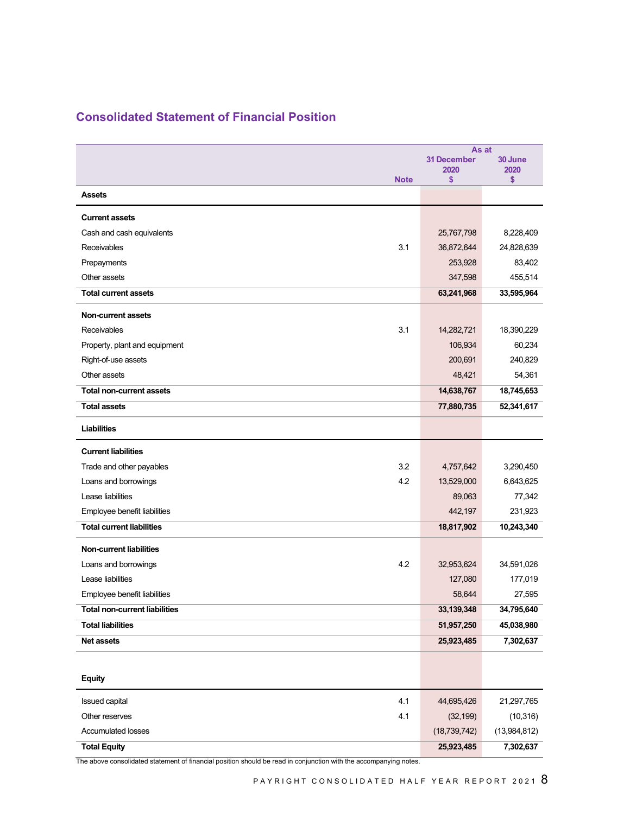# **Consolidated Statement of Financial Position**

|                                      |             |                            | As at           |
|--------------------------------------|-------------|----------------------------|-----------------|
|                                      |             | <b>31 December</b><br>2020 | 30 June<br>2020 |
|                                      | <b>Note</b> | \$                         | \$              |
| Assets                               |             |                            |                 |
| <b>Current assets</b>                |             |                            |                 |
| Cash and cash equivalents            |             | 25,767,798                 | 8,228,409       |
| Receivables                          | 3.1         | 36,872,644                 | 24,828,639      |
| Prepayments                          |             | 253,928                    | 83,402          |
| Other assets                         |             | 347,598                    | 455,514         |
| <b>Total current assets</b>          |             | 63,241,968                 | 33,595,964      |
| <b>Non-current assets</b>            |             |                            |                 |
| Receivables                          | 3.1         | 14,282,721                 | 18,390,229      |
| Property, plant and equipment        |             | 106,934                    | 60,234          |
| Right-of-use assets                  |             | 200,691                    | 240,829         |
| Other assets                         |             | 48,421                     | 54,361          |
| <b>Total non-current assets</b>      |             | 14,638,767                 | 18,745,653      |
| <b>Total assets</b>                  |             | 77,880,735                 | 52,341,617      |
| <b>Liabilities</b>                   |             |                            |                 |
| <b>Current liabilities</b>           |             |                            |                 |
| Trade and other payables             | 3.2         | 4,757,642                  | 3,290,450       |
| Loans and borrowings                 | 4.2         | 13,529,000                 | 6,643,625       |
| Lease liabilities                    |             | 89,063                     | 77,342          |
| Employee benefit liabilities         |             | 442,197                    | 231,923         |
| <b>Total current liabilities</b>     |             | 18,817,902                 | 10,243,340      |
| <b>Non-current liabilities</b>       |             |                            |                 |
| Loans and borrowings                 | 4.2         | 32,953,624                 | 34,591,026      |
| Lease liabilities                    |             | 127,080                    | 177,019         |
| Employee benefit liabilities         |             | 58,644                     | 27,595          |
| <b>Total non-current liabilities</b> |             | 33, 139, 348               | 34,795,640      |
| <b>Total liabilities</b>             |             | 51,957,250                 | 45,038,980      |
| <b>Net assets</b>                    |             | 25,923,485                 | 7,302,637       |
|                                      |             |                            |                 |
| <b>Equity</b>                        |             |                            |                 |
| Issued capital                       | 4.1         | 44,695,426                 | 21,297,765      |
| Other reserves                       | 4.1         | (32, 199)                  | (10, 316)       |
| <b>Accumulated losses</b>            |             | (18, 739, 742)             | (13,984,812)    |
| <b>Total Equity</b>                  |             | 25,923,485                 | 7,302,637       |

The above consolidated statement of financial position should be read in conjunction with the accompanying notes.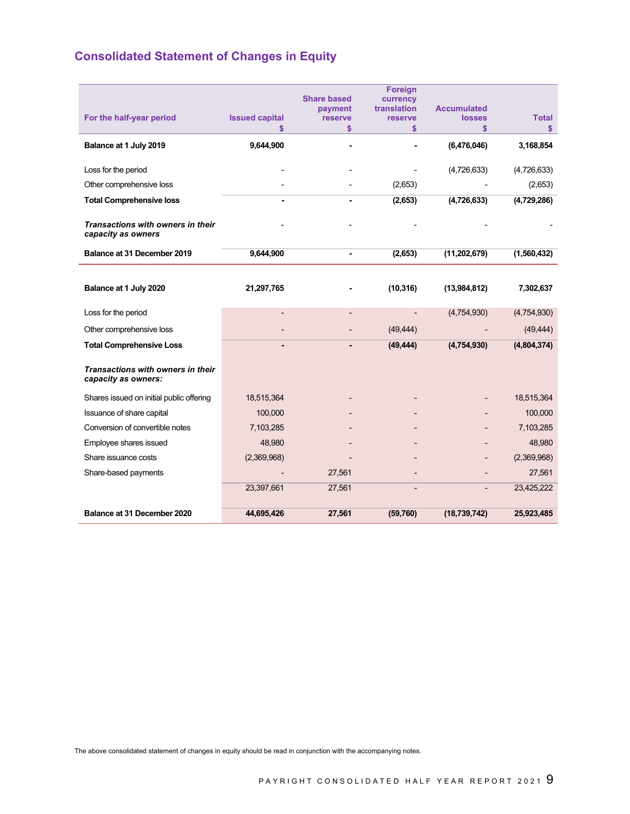# **Consolidated Statement of Changes in Equity**

| For the half-year period                                 | <b>Issued capital</b> | <b>Share based</b><br>payment<br>reserve | <b>Foreign</b><br>currency<br>translation<br>reserve | <b>Accumulated</b><br><b>losses</b> | <b>Total</b> |
|----------------------------------------------------------|-----------------------|------------------------------------------|------------------------------------------------------|-------------------------------------|--------------|
|                                                          | S                     | \$                                       | \$                                                   | \$                                  | \$           |
| Balance at 1 July 2019                                   | 9,644,900             |                                          |                                                      | (6,476,046)                         | 3,168,854    |
| Loss for the period                                      |                       |                                          |                                                      | (4,726,633)                         | (4,726,633)  |
| Other comprehensive loss                                 |                       |                                          | (2,653)                                              |                                     | (2,653)      |
| <b>Total Comprehensive loss</b>                          |                       |                                          | (2,653)                                              | (4,726,633)                         | (4,729,286)  |
| Transactions with owners in their<br>capacity as owners  |                       |                                          |                                                      |                                     |              |
| Balance at 31 December 2019                              | 9,644,900             | $\blacksquare$                           | (2,653)                                              | (11, 202, 679)                      | (1,560,432)  |
|                                                          |                       |                                          |                                                      |                                     |              |
| Balance at 1 July 2020                                   | 21,297,765            |                                          | (10, 316)                                            | (13,984,812)                        | 7,302,637    |
| Loss for the period                                      |                       |                                          |                                                      | (4,754,930)                         | (4,754,930)  |
| Other comprehensive loss                                 |                       |                                          | (49, 444)                                            |                                     | (49, 444)    |
| <b>Total Comprehensive Loss</b>                          |                       |                                          | (49, 444)                                            | (4,754,930)                         | (4,804,374)  |
| Transactions with owners in their<br>capacity as owners: |                       |                                          |                                                      |                                     |              |
| Shares issued on initial public offering                 | 18,515,364            |                                          |                                                      |                                     | 18,515,364   |
| Issuance of share capital                                | 100,000               |                                          |                                                      |                                     | 100,000      |
| Conversion of convertible notes                          | 7,103,285             |                                          |                                                      |                                     | 7,103,285    |
| Employee shares issued                                   | 48,980                |                                          |                                                      |                                     | 48,980       |
| Share issuance costs                                     | (2,369,968)           |                                          |                                                      |                                     | (2,369,968)  |
| Share-based payments                                     |                       | 27,561                                   |                                                      |                                     | 27,561       |
|                                                          | 23,397,661            | 27,561                                   |                                                      |                                     | 23,425,222   |
| Balance at 31 December 2020                              | 44,695,426            | 27,561                                   | (59,760)                                             | (18, 739, 742)                      | 25,923,485   |

The above consolidated statement of changes in equity should be read in conjunction with the accompanying notes.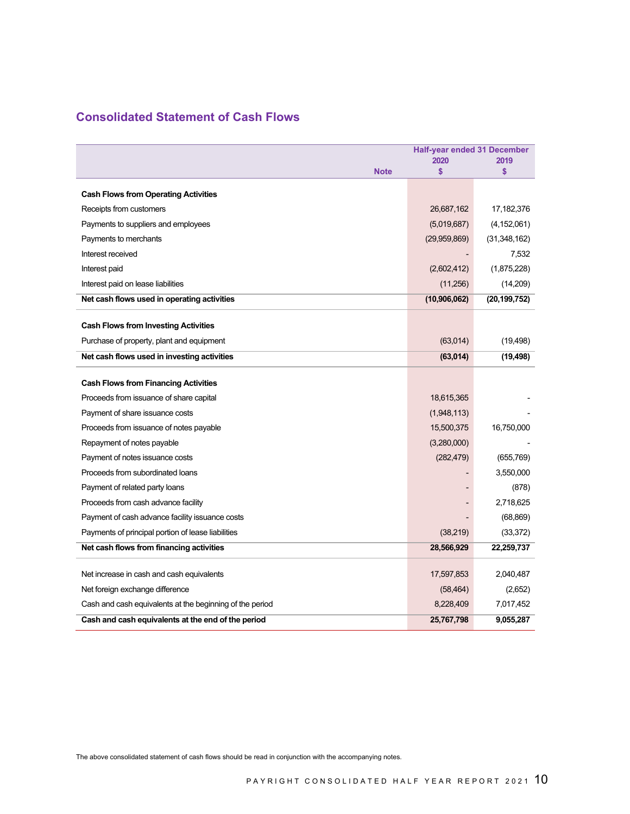# **Consolidated Statement of Cash Flows**

|                                                          | <b>Half-year ended 31 December</b> |                |
|----------------------------------------------------------|------------------------------------|----------------|
|                                                          | 2020                               | 2019           |
| <b>Note</b>                                              | \$                                 | \$             |
| <b>Cash Flows from Operating Activities</b>              |                                    |                |
| Receipts from customers                                  | 26,687,162                         | 17,182,376     |
| Payments to suppliers and employees                      | (5,019,687)                        | (4, 152, 061)  |
| Payments to merchants                                    | (29,959,869)                       | (31, 348, 162) |
| Interest received                                        |                                    | 7,532          |
| Interest paid                                            | (2,602,412)                        | (1,875,228)    |
| Interest paid on lease liabilities                       | (11,256)                           | (14, 209)      |
| Net cash flows used in operating activities              | (10,906,062)                       | (20, 199, 752) |
| <b>Cash Flows from Investing Activities</b>              |                                    |                |
| Purchase of property, plant and equipment                | (63, 014)                          | (19, 498)      |
| Net cash flows used in investing activities              | (63, 014)                          | (19, 498)      |
|                                                          |                                    |                |
| <b>Cash Flows from Financing Activities</b>              |                                    |                |
| Proceeds from issuance of share capital                  | 18,615,365                         |                |
| Payment of share issuance costs                          | (1,948,113)                        |                |
| Proceeds from issuance of notes payable                  | 15,500,375                         | 16,750,000     |
| Repayment of notes payable                               | (3,280,000)                        |                |
| Payment of notes issuance costs                          | (282, 479)                         | (655, 769)     |
| Proceeds from subordinated loans                         |                                    | 3,550,000      |
| Payment of related party loans                           |                                    | (878)          |
| Proceeds from cash advance facility                      |                                    | 2,718,625      |
| Payment of cash advance facility issuance costs          |                                    | (68, 869)      |
| Payments of principal portion of lease liabilities       | (38, 219)                          | (33, 372)      |
| Net cash flows from financing activities                 | 28,566,929                         | 22,259,737     |
| Net increase in cash and cash equivalents                | 17,597,853                         | 2,040,487      |
| Net foreign exchange difference                          | (58, 464)                          | (2,652)        |
|                                                          | 8,228,409                          | 7,017,452      |
| Cash and cash equivalents at the beginning of the period |                                    |                |
| Cash and cash equivalents at the end of the period       | 25,767,798                         | 9,055,287      |

The above consolidated statement of cash flows should be read in conjunction with the accompanying notes.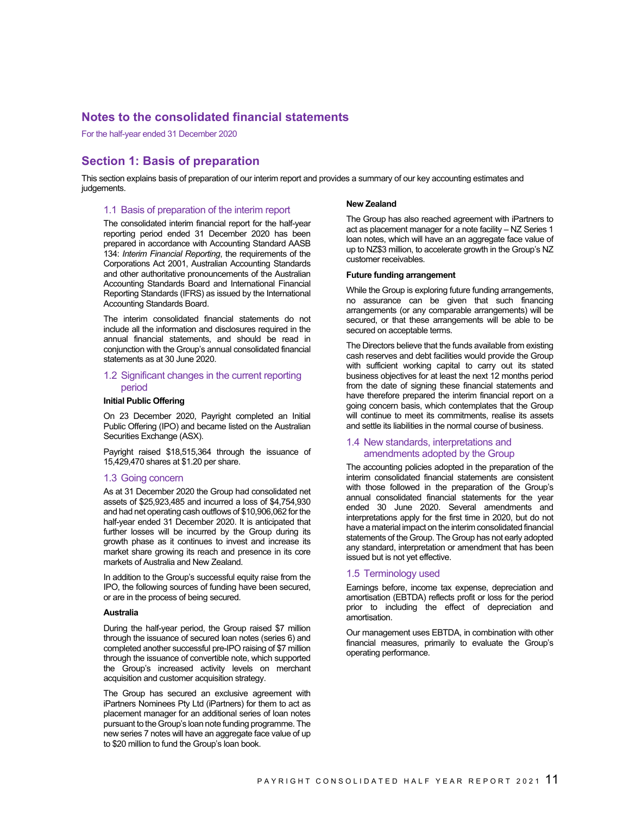## **Notes to the consolidated financial statements**

For the half-year ended 31 December 2020

## **Section 1: Basis of preparation**

This section explains basis of preparation of our interim report and provides a summary of our key accounting estimates and judgements.

#### 1.1 Basis of preparation of the interim report

The consolidated interim financial report for the half-year reporting period ended 31 December 2020 has been prepared in accordance with Accounting Standard AASB 134: *Interim Financial Reporting*, the requirements of the Corporations Act 2001, Australian Accounting Standards and other authoritative pronouncements of the Australian Accounting Standards Board and International Financial Reporting Standards (IFRS) as issued by the International Accounting Standards Board.

The interim consolidated financial statements do not include all the information and disclosures required in the annual financial statements, and should be read in conjunction with the Group's annual consolidated financial statements as at 30 June 2020.

#### 1.2 Significant changes in the current reporting period

#### **Initial Public Offering**

On 23 December 2020, Payright completed an Initial Public Offering (IPO) and became listed on the Australian Securities Exchange (ASX).

Payright raised \$18,515,364 through the issuance of 15,429,470 shares at \$1.20 per share.

#### 1.3 Going concern

As at 31 December 2020 the Group had consolidated net assets of \$25,923,485 and incurred a loss of \$4,754,930 and had net operating cash outflows of \$10,906,062 for the half-year ended 31 December 2020. It is anticipated that further losses will be incurred by the Group during its growth phase as it continues to invest and increase its market share growing its reach and presence in its core markets of Australia and New Zealand.

In addition to the Group's successful equity raise from the IPO, the following sources of funding have been secured, or are in the process of being secured.

#### **Australia**

During the half-year period, the Group raised \$7 million through the issuance of secured loan notes (series 6) and completed another successful pre-IPO raising of \$7 million through the issuance of convertible note, which supported the Group's increased activity levels on merchant acquisition and customer acquisition strategy.

The Group has secured an exclusive agreement with iPartners Nominees Pty Ltd (iPartners) for them to act as placement manager for an additional series of loan notes pursuant to the Group's loan note funding programme. The new series 7 notes will have an aggregate face value of up to \$20 million to fund the Group's loan book.

#### **New Zealand**

The Group has also reached agreement with iPartners to act as placement manager for a note facility – NZ Series 1 loan notes, which will have an an aggregate face value of up to NZ\$3 million, to accelerate growth in the Group's NZ customer receivables.

#### **Future funding arrangement**

While the Group is exploring future funding arrangements, no assurance can be given that such financing arrangements (or any comparable arrangements) will be secured, or that these arrangements will be able to be secured on acceptable terms.

The Directors believe that the funds available from existing cash reserves and debt facilities would provide the Group with sufficient working capital to carry out its stated business objectives for at least the next 12 months period from the date of signing these financial statements and have therefore prepared the interim financial report on a going concern basis, which contemplates that the Group will continue to meet its commitments, realise its assets and settle its liabilities in the normal course of business.

#### 1.4 New standards, interpretations and amendments adopted by the Group

The accounting policies adopted in the preparation of the interim consolidated financial statements are consistent with those followed in the preparation of the Group's annual consolidated financial statements for the year ended 30 June 2020. Several amendments and interpretations apply for the first time in 2020, but do not have a material impact on the interim consolidated financial statements of the Group. The Group has not early adopted any standard, interpretation or amendment that has been issued but is not yet effective.

#### 1.5 Terminology used

Earnings before, income tax expense, depreciation and amortisation (EBTDA) reflects profit or loss for the period prior to including the effect of depreciation and amortisation.

Our management uses EBTDA, in combination with other financial measures, primarily to evaluate the Group's operating performance.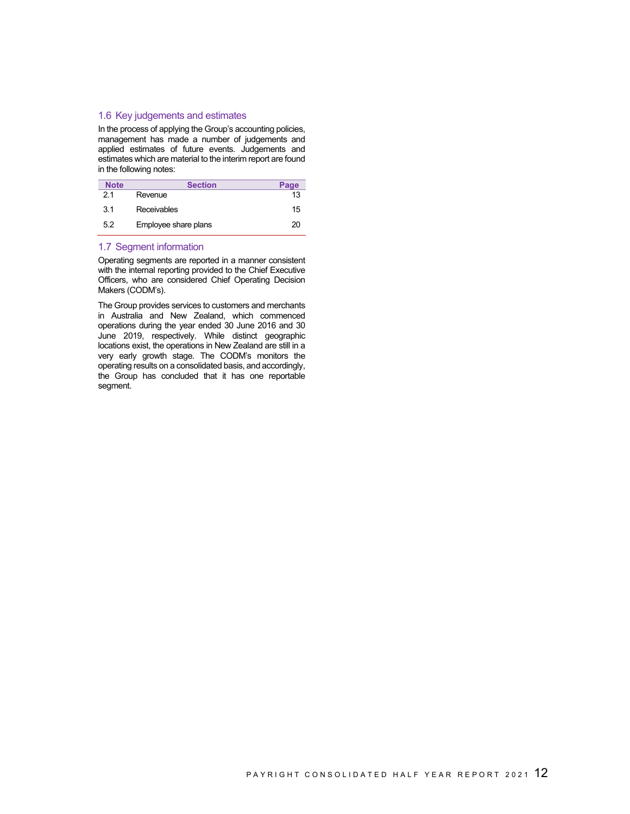#### 1.6 Key judgements and estimates

In the process of applying the Group's accounting policies, management has made a number of judgements and applied estimates of future events. Judgements and estimates which are material to the interim report are found in the following notes:

| <b>Note</b> | <b>Section</b>       | Page |
|-------------|----------------------|------|
| 21          | Revenue              | 13   |
| 31          | <b>Receivables</b>   | 15   |
| 5.2         | Employee share plans | 20   |

#### 1.7 Segment information

Operating segments are reported in a manner consistent with the internal reporting provided to the Chief Executive Officers, who are considered Chief Operating Decision Makers (CODM's).

The Group provides services to customers and merchants in Australia and New Zealand, which commenced operations during the year ended 30 June 2016 and 30 June 2019, respectively. While distinct geographic locations exist, the operations in New Zealand are still in a very early growth stage. The CODM's monitors the operating results on a consolidated basis, and accordingly, the Group has concluded that it has one reportable segment.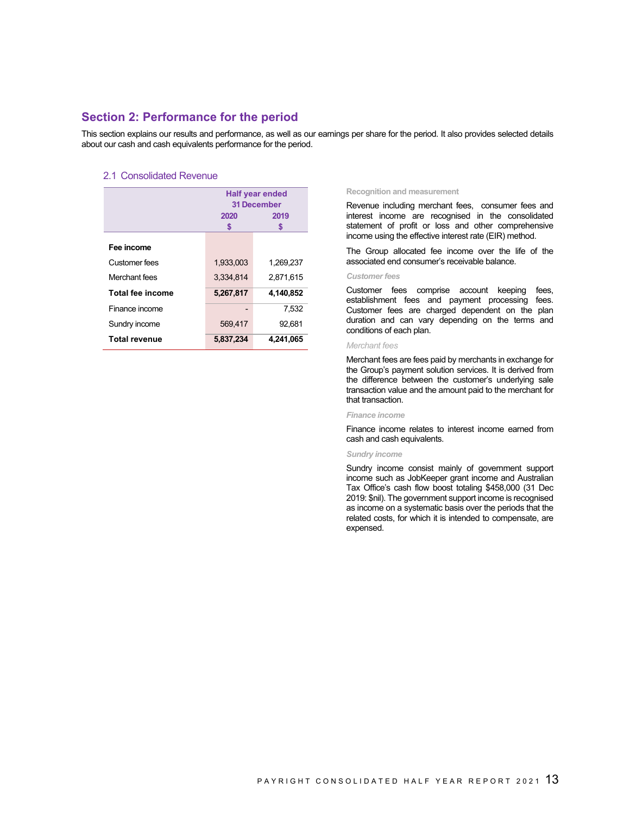## **Section 2: Performance for the period**

This section explains our results and performance, as well as our earnings per share for the period. It also provides selected details about our cash and cash equivalents performance for the period.

#### 2.1 Consolidated Revenue

|                      | <b>Half year ended</b><br><b>31 December</b> |           |  |
|----------------------|----------------------------------------------|-----------|--|
|                      | 2020                                         | 2019      |  |
|                      | \$                                           | S         |  |
| Fee income           |                                              |           |  |
| Customer fees        | 1,933,003                                    | 1,269,237 |  |
| Merchant fees        | 3,334,814                                    | 2,871,615 |  |
| Total fee income     | 5,267,817                                    | 4,140,852 |  |
| Finance income       |                                              | 7,532     |  |
| Sundry income        | 569.417                                      | 92.681    |  |
| <b>Total revenue</b> | 5,837,234                                    | 4,241,065 |  |

#### **Recognition and measurement**

Revenue including merchant fees, consumer fees and interest income are recognised in the consolidated statement of profit or loss and other comprehensive income using the effective interest rate (EIR) method.

The Group allocated fee income over the life of the associated end consumer's receivable balance.

#### *Customer fees*

Customer fees comprise account keeping fees, establishment fees and payment processing fees. Customer fees are charged dependent on the plan duration and can vary depending on the terms and conditions of each plan.

#### *Merchant fees*

Merchant fees are fees paid by merchants in exchange for the Group's payment solution services. It is derived from the difference between the customer's underlying sale transaction value and the amount paid to the merchant for that transaction.

#### *Finance income*

Finance income relates to interest income earned from cash and cash equivalents.

#### *Sundry income*

Sundry income consist mainly of government support income such as JobKeeper grant income and Australian Tax Office's cash flow boost totaling \$458,000 (31 Dec 2019: \$nil). The government support income is recognised as income on a systematic basis over the periods that the related costs, for which it is intended to compensate, are expensed.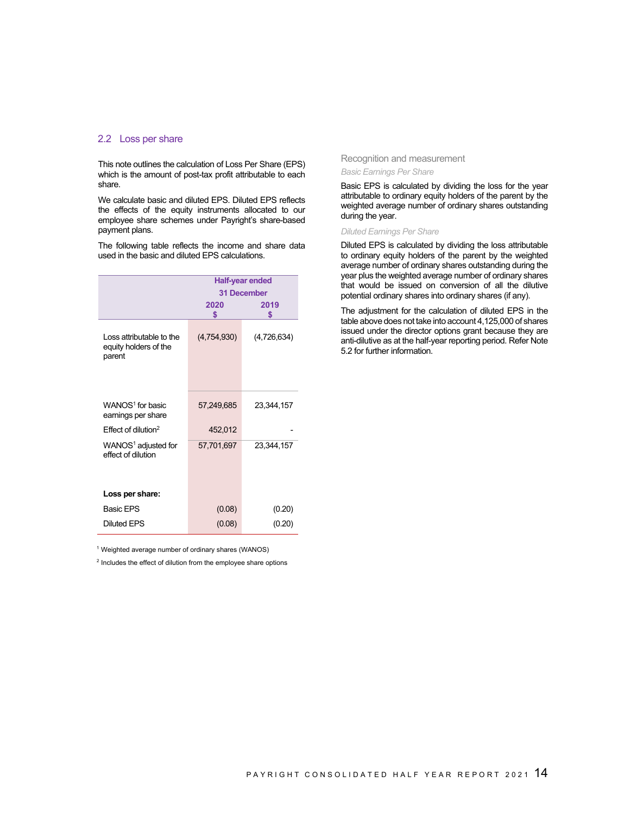#### 2.2 Loss per share

This note outlines the calculation of Loss Per Share (EPS) which is the amount of post-tax profit attributable to each share.

We calculate basic and diluted EPS. Diluted EPS reflects the effects of the equity instruments allocated to our employee share schemes under Payright's share-based payment plans.

The following table reflects the income and share data used in the basic and diluted EPS calculations.

|                                                             | Half-year ended    |             |  |
|-------------------------------------------------------------|--------------------|-------------|--|
|                                                             | <b>31 December</b> |             |  |
|                                                             | 2020<br>\$         | 2019<br>\$  |  |
|                                                             |                    |             |  |
| Loss attributable to the<br>equity holders of the<br>parent | (4,754,930)        | (4,726,634) |  |
|                                                             |                    |             |  |
| $WANOS1$ for basic<br>earnings per share                    | 57,249,685         | 23,344,157  |  |
| $F$ ffect of dilution <sup>2</sup>                          | 452,012            |             |  |
| WANOS <sup>1</sup> adjusted for<br>effect of dilution       | 57,701,697         | 23,344,157  |  |
|                                                             |                    |             |  |
| Loss per share:                                             |                    |             |  |
| <b>Basic EPS</b>                                            | (0.08)             | (0.20)      |  |
| <b>Diluted EPS</b>                                          | (0.08)             | (0.20)      |  |

1 Weighted average number of ordinary shares (WANOS)

2 Includes the effect of dilution from the employee share options

### Recognition and measurement *Basic Earnings Per Share*

Basic EPS is calculated by dividing the loss for the year attributable to ordinary equity holders of the parent by the weighted average number of ordinary shares outstanding during the year.

#### *Diluted Earnings Per Share*

Diluted EPS is calculated by dividing the loss attributable to ordinary equity holders of the parent by the weighted average number of ordinary shares outstanding during the year plus the weighted average number of ordinary shares that would be issued on conversion of all the dilutive potential ordinary shares into ordinary shares (if any).

The adjustment for the calculation of diluted EPS in the table above does not take into account 4,125,000 of shares issued under the director options grant because they are anti-dilutive as at the half-year reporting period. Refer Note 5.2 for further information.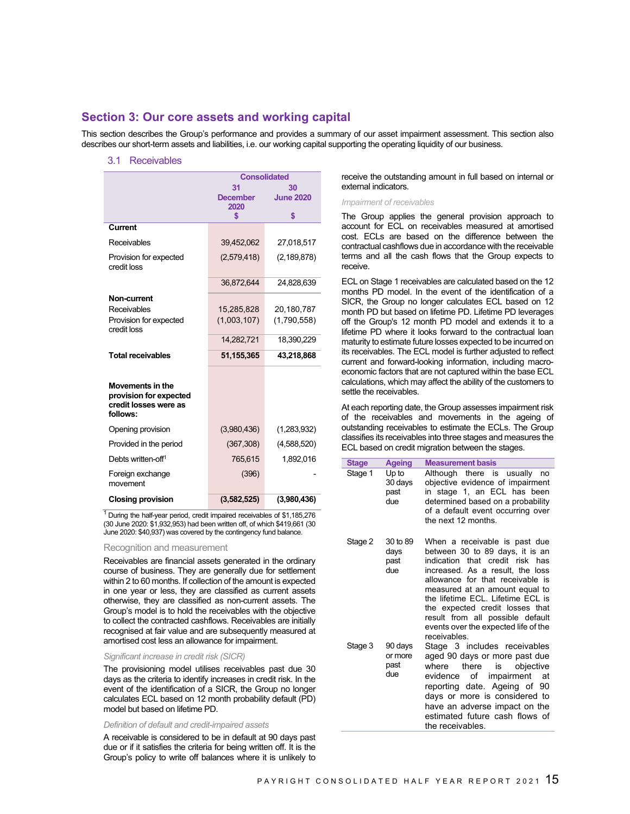## **Section 3: Our core assets and working capital**

This section describes the Group's performance and provides a summary of our asset impairment assessment. This section also describes our short-term assets and liabilities, i.e. our working capital supporting the operating liquidity of our business.

#### 3.1 Receivables

|                                                                                        | <b>Consolidated</b>     |                  |
|----------------------------------------------------------------------------------------|-------------------------|------------------|
|                                                                                        | 31                      | 30               |
|                                                                                        | <b>December</b><br>2020 | <b>June 2020</b> |
|                                                                                        | \$                      | \$               |
| Current                                                                                |                         |                  |
| Receivables                                                                            | 39,452,062              | 27.018.517       |
| Provision for expected<br>credit loss                                                  | (2,579,418)             | (2, 189, 878)    |
|                                                                                        | 36,872,644              | 24,828,639       |
| Non-current                                                                            |                         |                  |
| Receivables                                                                            | 15,285,828              | 20,180,787       |
| Provision for expected<br>credit loss                                                  | (1,003,107)             | (1,790,558)      |
|                                                                                        | 14,282,721              | 18,390,229       |
| <b>Total receivables</b>                                                               | 51,155,365              | 43,218,868       |
|                                                                                        |                         |                  |
| <b>Movements in the</b><br>provision for expected<br>credit losses were as<br>follows: |                         |                  |
| Opening provision                                                                      | (3,980,436)             | (1,283,932)      |
| Provided in the period                                                                 | (367, 308)              | (4,588,520)      |
| Debts written-off <sup>1</sup>                                                         | 765,615                 | 1,892,016        |
| Foreign exchange<br>movement                                                           | (396)                   |                  |
| <b>Closing provision</b>                                                               | (3,582,525)             | (3,980,436)      |

1 During the half-year period, credit impaired receivables of \$1,185,276 (30 June 2020: \$1,932,953) had been written off, of which \$419,661 (30 June 2020: \$40,937) was covered by the contingency fund balance.

#### Recognition and measurement

Receivables are financial assets generated in the ordinary course of business. They are generally due for settlement within 2 to 60 months. If collection of the amount is expected in one year or less, they are classified as current assets otherwise, they are classified as non-current assets. The Group's model is to hold the receivables with the objective to collect the contracted cashflows. Receivables are initially recognised at fair value and are subsequently measured at amortised cost less an allowance for impairment.

#### *Significant increase in credit risk (SICR)*

The provisioning model utilises receivables past due 30 days as the criteria to identify increases in credit risk. In the event of the identification of a SICR, the Group no longer calculates ECL based on 12 month probability default (PD) model but based on lifetime PD.

#### *Definition of default and credit-impaired assets*

A receivable is considered to be in default at 90 days past due or if it satisfies the criteria for being written off. It is the Group's policy to write off balances where it is unlikely to

receive the outstanding amount in full based on internal or external indicators.

#### *Impairment of receivables*

The Group applies the general provision approach to account for ECL on receivables measured at amortised cost. ECLs are based on the difference between the contractual cashflows due in accordance with the receivable terms and all the cash flows that the Group expects to receive.

ECL on Stage 1 receivables are calculated based on the 12 months PD model. In the event of the identification of a SICR, the Group no longer calculates ECL based on 12 month PD but based on lifetime PD. Lifetime PD leverages off the Group's 12 month PD model and extends it to a lifetime PD where it looks forward to the contractual loan maturity to estimate future losses expected to be incurred on its receivables. The ECL model is further adjusted to reflect current and forward-looking information, including macroeconomic factors that are not captured within the base ECL calculations, which may affect the ability of the customers to settle the receivables.

At each reporting date, the Group assesses impairment risk of the receivables and movements in the ageing of outstanding receivables to estimate the ECLs. The Group classifies its receivables into three stages and measures the ECL based on credit migration between the stages.

| <b>Stage</b> | <b>Ageing</b>                     | <b>Measurement basis</b>                                                                                                                                                                                                                                                                                                                                                         |
|--------------|-----------------------------------|----------------------------------------------------------------------------------------------------------------------------------------------------------------------------------------------------------------------------------------------------------------------------------------------------------------------------------------------------------------------------------|
| Stage 1      | Up to<br>30 days<br>past<br>due   | Although there is usually<br>no<br>objective evidence of impairment<br>in stage 1, an ECL has been<br>determined based on a probability<br>of a default event occurring over<br>the next 12 months.                                                                                                                                                                              |
| Stage 2      | 30 to 89<br>days<br>past<br>due   | When a receivable is past due<br>between 30 to 89 days, it is an<br>indication that credit risk has<br>increased. As a result, the loss<br>allowance for that receivable is<br>measured at an amount equal to<br>the lifetime ECL. Lifetime ECL is<br>the expected credit losses that<br>result from all possible default<br>events over the expected life of the<br>receivables |
| Stage 3      | 90 days<br>or more<br>past<br>due | Stage 3 includes receivables<br>aged 90 days or more past due<br>there<br>objective<br>where<br>is<br>of<br>impairment<br>evidence<br>at<br>reporting date. Ageing of 90<br>days or more is considered to<br>have an adverse impact on the<br>estimated future cash flows of<br>the receivables.                                                                                 |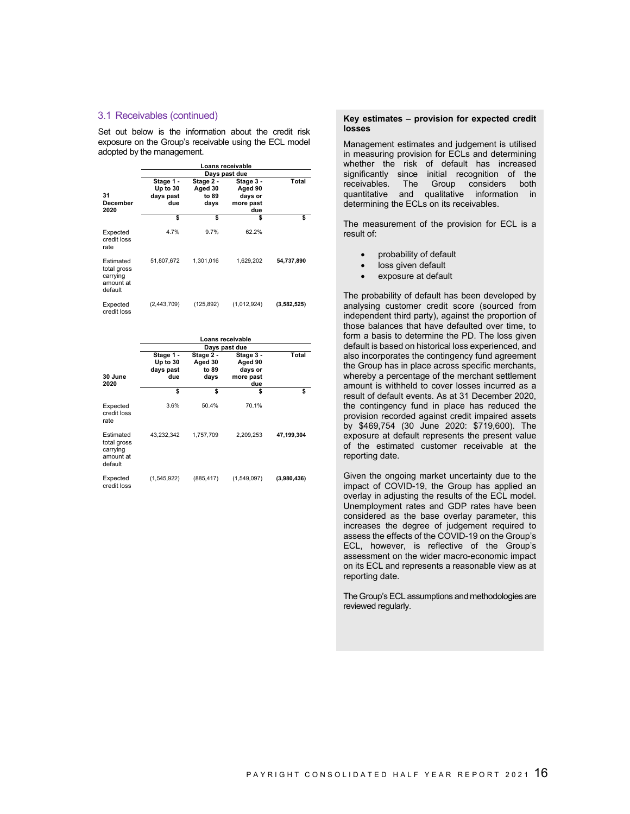#### 3.1 Receivables (continued)

Set out below is the information about the credit risk exposure on the Group's receivable using the ECL model adopted by the management.

|                                                              | Loans receivable                          |                                       |                                                     |             |
|--------------------------------------------------------------|-------------------------------------------|---------------------------------------|-----------------------------------------------------|-------------|
|                                                              | Days past due                             |                                       |                                                     |             |
| 31<br>December<br>2020                                       | Stage 1 -<br>Up to 30<br>days past<br>due | Stage 2 -<br>Aged 30<br>to 89<br>days | Stage 3 -<br>Aged 90<br>days or<br>more past<br>due | Total       |
|                                                              | \$                                        | \$                                    | \$                                                  | \$          |
| Expected<br>credit loss<br>rate                              | 4.7%                                      | 9.7%                                  | 62.2%                                               |             |
| Estimated<br>total gross<br>carrying<br>amount at<br>default | 51,807,672                                | 1.301.016                             | 1.629.202                                           | 54,737,890  |
| Expected<br>credit loss                                      | (2,443,709)                               | (125, 892)                            | (1,012,924)                                         | (3,582,525) |

|                                                              | Loans receivable                          |                                       |                                                     |             |
|--------------------------------------------------------------|-------------------------------------------|---------------------------------------|-----------------------------------------------------|-------------|
|                                                              |                                           | Days past due                         |                                                     |             |
| 30 June<br>2020                                              | Stage 1 -<br>Up to 30<br>days past<br>due | Stage 2 -<br>Aged 30<br>to 89<br>days | Stage 3 -<br>Aged 90<br>days or<br>more past<br>due | Total       |
|                                                              | \$                                        | \$                                    | \$                                                  | \$          |
| Expected<br>credit loss<br>rate                              | 3.6%                                      | 50.4%                                 | 70.1%                                               |             |
| Estimated<br>total gross<br>carrying<br>amount at<br>default | 43,232,342                                | 1,757,709                             | 2,209,253                                           | 47,199,304  |
| Expected<br>credit loss                                      | (1,545,922)                               | (885, 417)                            | (1,549,097)                                         | (3,980,436) |

#### **Key estimates – provision for expected credit losses**

Management estimates and judgement is utilised in measuring provision for ECLs and determining whether the risk of default has increased significantly since initial recognition of the receivables. The Group considers both quantitative and qualitative information in determining the ECLs on its receivables.

The measurement of the provision for ECL is a result of:

- probability of default
- loss given default
- exposure at default

The probability of default has been developed by analysing customer credit score (sourced from independent third party), against the proportion of those balances that have defaulted over time, to form a basis to determine the PD. The loss given default is based on historical loss experienced, and also incorporates the contingency fund agreement the Group has in place across specific merchants, whereby a percentage of the merchant settlement amount is withheld to cover losses incurred as a result of default events. As at 31 December 2020, the contingency fund in place has reduced the provision recorded against credit impaired assets by \$469,754 (30 June 2020: \$719,600). The exposure at default represents the present value of the estimated customer receivable at the reporting date.

Given the ongoing market uncertainty due to the impact of COVID-19, the Group has applied an overlay in adjusting the results of the ECL model. Unemployment rates and GDP rates have been considered as the base overlay parameter, this increases the degree of judgement required to assess the effects of the COVID-19 on the Group's ECL, however, is reflective of the Group's assessment on the wider macro-economic impact on its ECL and represents a reasonable view as at reporting date.

The Group's ECL assumptions and methodologies are reviewed regularly.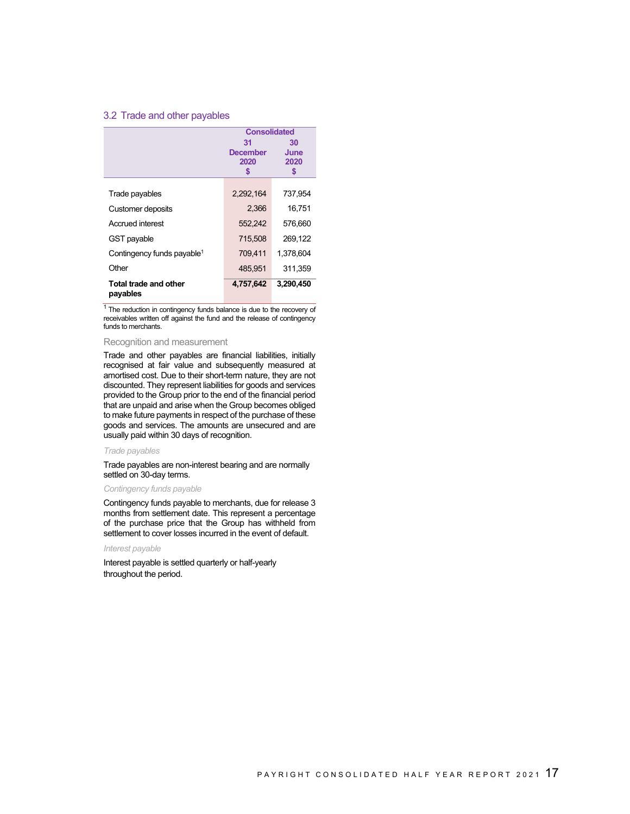#### 3.2 Trade and other payables

|                                        | <b>Consolidated</b> |           |
|----------------------------------------|---------------------|-----------|
|                                        | 31                  | 30        |
|                                        | <b>December</b>     | June      |
|                                        | 2020                | 2020      |
|                                        | S                   |           |
|                                        |                     |           |
| Trade payables                         | 2,292,164           | 737.954   |
| Customer deposits                      | 2,366               | 16,751    |
| Accrued interest                       | 552.242             | 576.660   |
| GST payable                            | 715.508             | 269.122   |
| Contingency funds payable <sup>1</sup> | 709.411             | 1.378.604 |
| Other                                  | 485,951             | 311.359   |
| Total trade and other<br>payables      | 4,757,642           | 3,290,450 |

 $1$  The reduction in contingency funds balance is due to the recovery of receivables written off against the fund and the release of contingency funds to merchants.

#### Recognition and measurement

Trade and other payables are financial liabilities, initially recognised at fair value and subsequently measured at amortised cost. Due to their short-term nature, they are not discounted. They represent liabilities for goods and services provided to the Group prior to the end of the financial period that are unpaid and arise when the Group becomes obliged to make future payments in respect of the purchase of these goods and services. The amounts are unsecured and are usually paid within 30 days of recognition.

#### *Trade payables*

Trade payables are non-interest bearing and are normally settled on 30-day terms.

#### *Contingency funds payable*

Contingency funds payable to merchants, due for release 3 months from settlement date. This represent a percentage of the purchase price that the Group has withheld from settlement to cover losses incurred in the event of default.

#### *Interest payable*

Interest payable is settled quarterly or half-yearly throughout the period.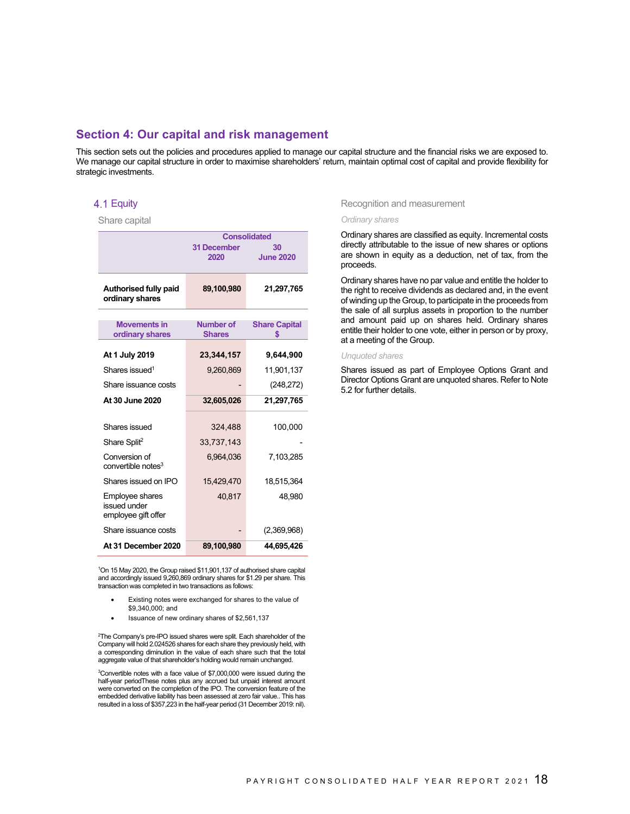## **Section 4: Our capital and risk management**

This section sets out the policies and procedures applied to manage our capital structure and the financial risks we are exposed to. We manage our capital structure in order to maximise shareholders' return, maintain optimal cost of capital and provide flexibility for strategic investments.

### 4.1 Equity

Share capital

|                                                               |                                   | <b>Consolidated</b>        |  |  |
|---------------------------------------------------------------|-----------------------------------|----------------------------|--|--|
|                                                               | <b>31 December</b><br>2020        | 30<br><b>June 2020</b>     |  |  |
| Authorised fully paid<br>ordinary shares                      | 89,100,980                        | 21,297,765                 |  |  |
| <b>Movements in</b><br>ordinary shares                        | <b>Number of</b><br><b>Shares</b> | <b>Share Capital</b><br>\$ |  |  |
| At 1 July 2019                                                | 23,344,157                        | 9,644,900                  |  |  |
| Shares issued <sup>1</sup>                                    | 9,260,869                         | 11,901,137                 |  |  |
| Share issuance costs                                          |                                   | (248, 272)                 |  |  |
| At 30 June 2020                                               | 32,605,026                        | 21,297,765                 |  |  |
| Shares issued                                                 | 324,488                           | 100,000                    |  |  |
| Share Split <sup>2</sup>                                      | 33,737,143                        |                            |  |  |
| Conversion of<br>convertible notes <sup>3</sup>               | 6,964,036                         | 7,103,285                  |  |  |
| Shares issued on IPO                                          | 15,429,470                        | 18,515,364                 |  |  |
| <b>Employee shares</b><br>issued under<br>employee gift offer | 40,817                            | 48,980                     |  |  |
| Share issuance costs                                          |                                   | (2,369,968)                |  |  |
| At 31 December 2020                                           | 89,100,980                        | 44,695,426                 |  |  |

1 On 15 May 2020, the Group raised \$11,901,137 of authorised share capital and accordingly issued 9,260,869 ordinary shares for \$1.29 per share. This transaction was completed in two transactions as follows:

- Existing notes were exchanged for shares to the value of \$9,340,000; and
- Issuance of new ordinary shares of \$2,561,137

2 The Company's pre-IPO issued shares were split. Each shareholder of the Company will hold 2.024526 shares for each share they previously held, with a corresponding diminution in the value of each share such that the total aggregate value of that shareholder's holding would remain unchanged.

3 Convertible notes with a face value of \$7,000,000 were issued during the half-year periodThese notes plus any accrued but unpaid interest amount were converted on the completion of the IPO. The conversion feature of the embedded derivative liability has been assessed at zero fair value.. This has resulted in a loss of \$357,223 in the half-year period (31 December 2019: nil).

#### Recognition and measurement

#### *Ordinary shares*

Ordinary shares are classified as equity. Incremental costs directly attributable to the issue of new shares or options are shown in equity as a deduction, net of tax, from the proceeds.

Ordinary shares have no par value and entitle the holder to the right to receive dividends as declared and, in the event of winding up the Group, to participate in the proceeds from the sale of all surplus assets in proportion to the number and amount paid up on shares held. Ordinary shares entitle their holder to one vote, either in person or by proxy, at a meeting of the Group.

#### *Unquoted shares*

Shares issued as part of Employee Options Grant and Director Options Grant are unquoted shares. Refer to Note 5.2 for further details.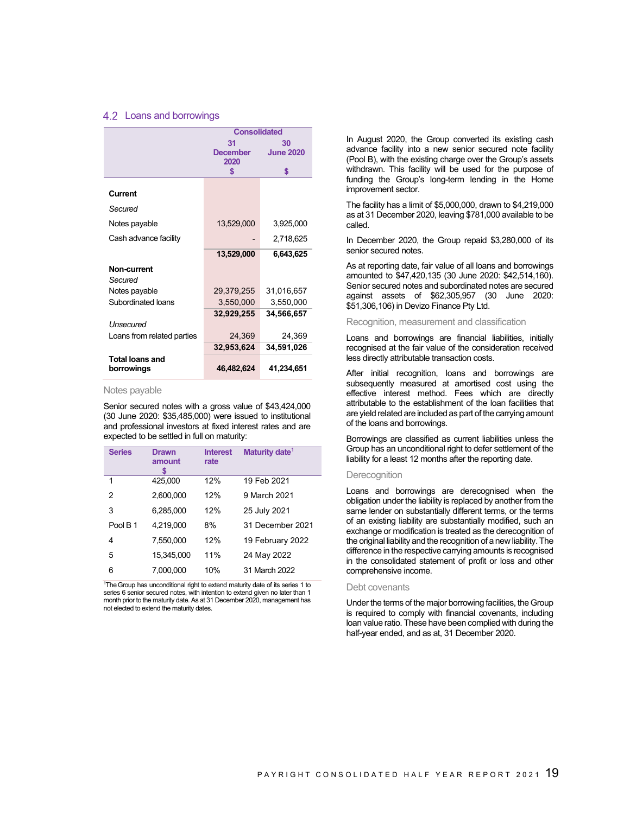#### 4.2 Loans and borrowings

|                            | <b>Consolidated</b> |                  |
|----------------------------|---------------------|------------------|
|                            | 31                  | 30               |
|                            | <b>December</b>     | <b>June 2020</b> |
|                            | 2020                |                  |
|                            | \$                  | \$               |
| Current                    |                     |                  |
|                            |                     |                  |
| Secured                    |                     |                  |
| Notes payable              | 13,529,000          | 3,925,000        |
| Cash advance facility      |                     | 2,718,625        |
|                            | 13,529,000          | 6,643,625        |
| Non-current                |                     |                  |
| Secured                    |                     |                  |
| Notes payable              | 29,379,255          | 31,016,657       |
| Subordinated loans         | 3,550,000           | 3,550,000        |
|                            | 32,929,255          | 34,566,657       |
| Unsecured                  |                     |                  |
| Loans from related parties | 24,369              | 24,369           |
|                            | 32,953,624          | 34,591,026       |
| <b>Total loans and</b>     |                     |                  |
| borrowings                 | 46,482,624          | 41,234,651       |

#### Notes payable

Senior secured notes with a gross value of \$43,424,000 (30 June 2020: \$35,485,000) were issued to institutional and professional investors at fixed interest rates and are expected to be settled in full on maturity:

| <b>Series</b> | <b>Drawn</b><br>amount | <b>Interest</b><br>rate | Maturity date <sup>1</sup> |
|---------------|------------------------|-------------------------|----------------------------|
| 1             | 425,000                | 12%                     | 19 Feb 2021                |
| 2             | 2,600,000              | 12%                     | 9 March 2021               |
| 3             | 6.285.000              | 12%                     | 25 July 2021               |
| Pool B 1      | 4.219.000              | 8%                      | 31 December 2021           |
| 4             | 7,550,000              | 12%                     | 19 February 2022           |
| 5             | 15,345,000             | 11%                     | 24 May 2022                |
| 6             | 7,000,000              | 10%                     | 31 March 2022              |
|               |                        |                         |                            |

<sup>1</sup>The Group has unconditional right to extend maturity date of its series 1 to series 6 senior secured notes, with intention to extend given no later than 1 month prior to the maturity date. As at 31 December 2020, management has not elected to extend the maturity dates.

In August 2020, the Group converted its existing cash advance facility into a new senior secured note facility (Pool B), with the existing charge over the Group's assets withdrawn. This facility will be used for the purpose of funding the Group's long-term lending in the Home improvement sector.

The facility has a limit of \$5,000,000, drawn to \$4,219,000 as at 31 December 2020, leaving \$781,000 available to be called.

In December 2020, the Group repaid \$3,280,000 of its senior secured notes.

As at reporting date, fair value of all loans and borrowings amounted to \$47,420,135 (30 June 2020: \$42,514,160). Senior secured notes and subordinated notes are secured against assets of \$62,305,957 (30 June 2020: \$51,306,106) in Devizo Finance Pty Ltd.

#### Recognition, measurement and classification

Loans and borrowings are financial liabilities, initially recognised at the fair value of the consideration received less directly attributable transaction costs.

After initial recognition, loans and borrowings are subsequently measured at amortised cost using the effective interest method. Fees which are directly attributable to the establishment of the loan facilities that are yield related are included as part of the carrying amount of the loans and borrowings.

Borrowings are classified as current liabilities unless the Group has an unconditional right to defer settlement of the liability for a least 12 months after the reporting date.

#### Derecognition

Loans and borrowings are derecognised when the obligation under the liability is replaced by another from the same lender on substantially different terms, or the terms of an existing liability are substantially modified, such an exchange or modification is treated as the derecognition of the original liability and the recognition of a new liability. The difference in the respective carrying amounts is recognised in the consolidated statement of profit or loss and other comprehensive income.

#### Debt covenants

Under the terms of the major borrowing facilities, the Group is required to comply with financial covenants, including loan value ratio. These have been complied with during the half-year ended, and as at, 31 December 2020.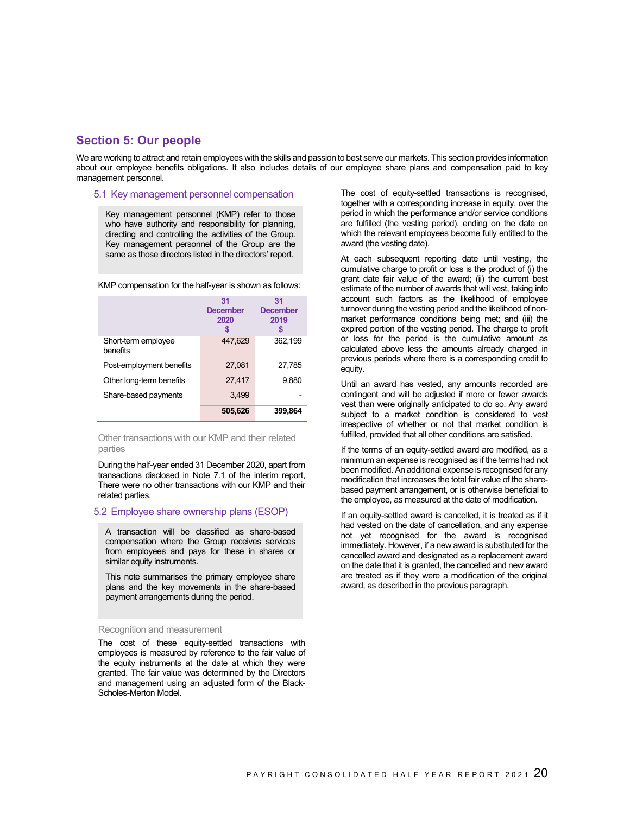## **Section 5: Our people**

We are working to attract and retain employees with the skills and passion to best serve our markets. This section provides information about our employee benefits obligations. It also includes details of our employee share plans and compensation paid to key management personnel.

#### 5.1 Key management personnel compensation

Key management personnel (KMP) refer to those who have authority and responsibility for planning, directing and controlling the activities of the Group. Key management personnel of the Group are the same as those directors listed in the directors' report.

KMP compensation for the half-year is shown as follows:

|                                 | 31<br><b>December</b><br>2020 | 31<br><b>December</b><br>2019 |
|---------------------------------|-------------------------------|-------------------------------|
| Short-term employee<br>benefits | 447,629                       | 362,199                       |
| Post-employment benefits        | 27,081                        | 27,785                        |
| Other long-term benefits        | 27,417                        | 9,880                         |
| Share-based payments            | 3,499                         |                               |
|                                 | 505,626                       | 399.864                       |

#### Other transactions with our KMP and their related parties

During the half-year ended 31 December 2020, apart from transactions disclosed in Note 7.1 of the interim report, There were no other transactions with our KMP and their related parties.

#### 5.2 Employee share ownership plans (ESOP)

A transaction will be classified as share-based compensation where the Group receives services from employees and pays for these in shares or similar equity instruments.

This note summarises the primary employee share plans and the key movements in the share-based payment arrangements during the period.

#### Recognition and measurement

The cost of these equity-settled transactions with employees is measured by reference to the fair value of the equity instruments at the date at which they were granted. The fair value was determined by the Directors and management using an adjusted form of the Black-Scholes-Merton Model.

The cost of equity-settled transactions is recognised, together with a corresponding increase in equity, over the period in which the performance and/or service conditions are fulfilled (the vesting period), ending on the date on which the relevant employees become fully entitled to the award (the vesting date).

At each subsequent reporting date until vesting, the cumulative charge to profit or loss is the product of (i) the grant date fair value of the award; (ii) the current best estimate of the number of awards that will vest, taking into account such factors as the likelihood of employee turnover during the vesting period and the likelihood of nonmarket performance conditions being met; and (iii) the expired portion of the vesting period. The charge to profit or loss for the period is the cumulative amount as calculated above less the amounts already charged in previous periods where there is a corresponding credit to equity.

Until an award has vested, any amounts recorded are contingent and will be adjusted if more or fewer awards vest than were originally anticipated to do so. Any award subject to a market condition is considered to vest irrespective of whether or not that market condition is fulfilled, provided that all other conditions are satisfied.

If the terms of an equity-settled award are modified, as a minimum an expense is recognised as if the terms had not been modified. An additional expense is recognised for any modification that increases the total fair value of the sharebased payment arrangement, or is otherwise beneficial to the employee, as measured at the date of modification.

If an equity-settled award is cancelled, it is treated as if it had vested on the date of cancellation, and any expense not yet recognised for the award is recognised immediately. However, if a new award is substituted for the cancelled award and designated as a replacement award on the date that it is granted, the cancelled and new award are treated as if they were a modification of the original award, as described in the previous paragraph.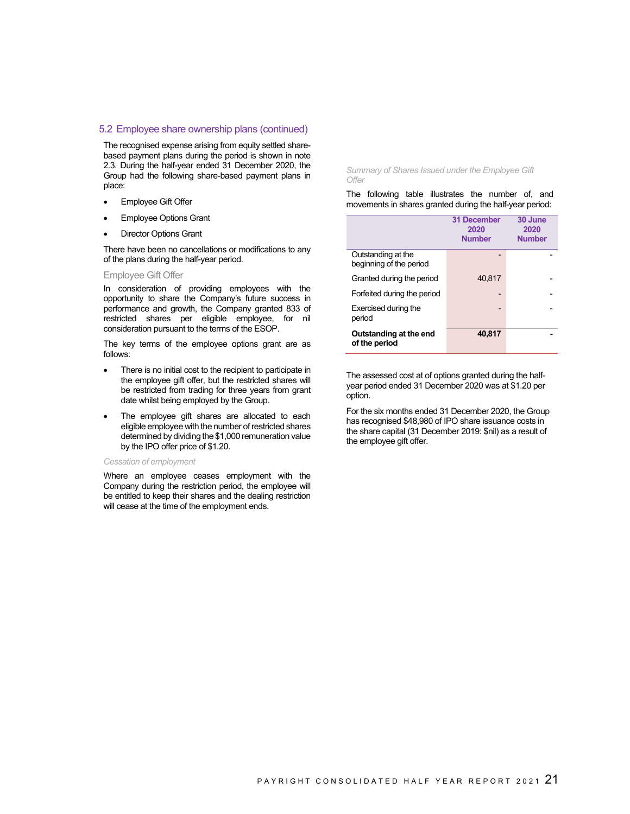#### 5.2 Employee share ownership plans (continued)

The recognised expense arising from equity settled sharebased payment plans during the period is shown in note 2.3. During the half-year ended 31 December 2020, the Group had the following share-based payment plans in place:

- Employee Gift Offer
- Employee Options Grant
- Director Options Grant

There have been no cancellations or modifications to any of the plans during the half-year period.

#### Employee Gift Offer

In consideration of providing employees with the opportunity to share the Company's future success in performance and growth, the Company granted 833 of restricted shares per eligible employee, for nil consideration pursuant to the terms of the ESOP.

The key terms of the employee options grant are as follows:

- There is no initial cost to the recipient to participate in the employee gift offer, but the restricted shares will be restricted from trading for three years from grant date whilst being employed by the Group.
- The employee gift shares are allocated to each eligible employee with the number of restricted shares determined by dividing the \$1,000 remuneration value by the IPO offer price of \$1.20.

#### *Cessation of employment*

Where an employee ceases employment with the Company during the restriction period, the employee will be entitled to keep their shares and the dealing restriction will cease at the time of the employment ends.

*Summary of Shares Issued under the Employee Gift Offer* 

The following table illustrates the number of, and movements in shares granted during the half-year period:

|                                               | <b>31 December</b><br>2020<br><b>Number</b> | 30 June<br>2020<br><b>Number</b> |
|-----------------------------------------------|---------------------------------------------|----------------------------------|
| Outstanding at the<br>beginning of the period |                                             |                                  |
| Granted during the period                     | 40.817                                      |                                  |
| Forfeited during the period                   |                                             |                                  |
| Exercised during the<br>period                |                                             |                                  |
| Outstanding at the end<br>of the period       | 40,817                                      |                                  |

The assessed cost at of options granted during the halfyear period ended 31 December 2020 was at \$1.20 per option.

For the six months ended 31 December 2020, the Group has recognised \$48,980 of IPO share issuance costs in the share capital (31 December 2019: \$nil) as a result of the employee gift offer.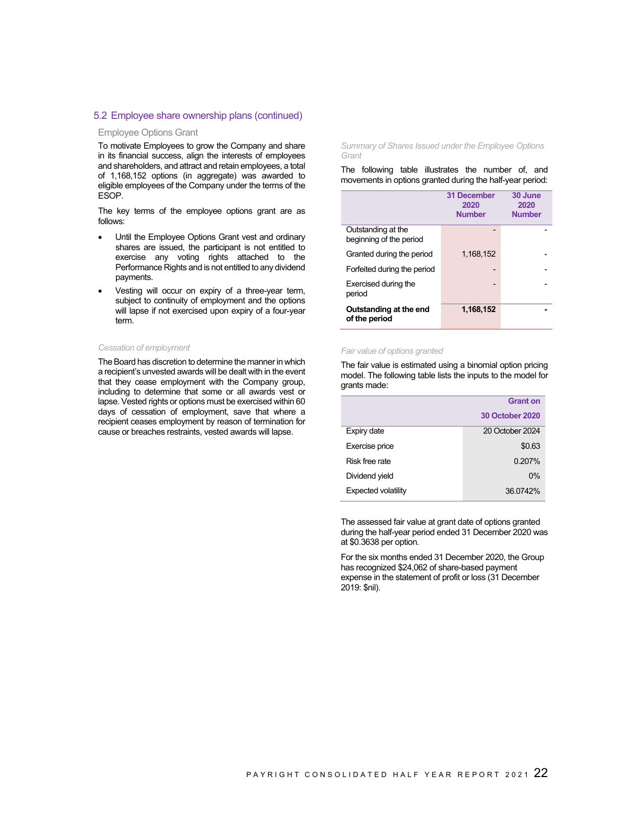#### 5.2 Employee share ownership plans (continued)

#### Employee Options Grant

To motivate Employees to grow the Company and share in its financial success, align the interests of employees and shareholders, and attract and retain employees, a total of 1,168,152 options (in aggregate) was awarded to eligible employees of the Company under the terms of the ESOP.

The key terms of the employee options grant are as follows:

- Until the Employee Options Grant vest and ordinary shares are issued, the participant is not entitled to exercise any voting rights attached to the Performance Rights and is not entitled to any dividend payments.
- Vesting will occur on expiry of a three-year term, subject to continuity of employment and the options will lapse if not exercised upon expiry of a four-year term.

#### *Cessation of employment*

The Board has discretion to determine the manner in which a recipient's unvested awards will be dealt with in the event that they cease employment with the Company group, including to determine that some or all awards vest or lapse. Vested rights or options must be exercised within 60 days of cessation of employment, save that where a recipient ceases employment by reason of termination for cause or breaches restraints, vested awards will lapse.

*Summary of Shares Issued under the Employee Options Grant* 

The following table illustrates the number of, and movements in options granted during the half-year period:

|                                               | <b>31 December</b><br>2020<br><b>Number</b> | 30 June<br>2020<br><b>Number</b> |
|-----------------------------------------------|---------------------------------------------|----------------------------------|
| Outstanding at the<br>beginning of the period |                                             |                                  |
| Granted during the period                     | 1,168,152                                   |                                  |
| Forfeited during the period                   |                                             |                                  |
| Exercised during the<br>period                |                                             |                                  |
| Outstanding at the end<br>of the period       | 1,168,152                                   |                                  |

#### *Fair value of options granted*

The fair value is estimated using a binomial option pricing model. The following table lists the inputs to the model for grants made:

|                     | <b>Grant on</b>        |  |
|---------------------|------------------------|--|
|                     | <b>30 October 2020</b> |  |
| Expiry date         | 20 October 2024        |  |
| Exercise price      | \$0.63                 |  |
| Risk free rate      | 0.207%                 |  |
| Dividend yield      | $0\%$                  |  |
| Expected volatility | 36.0742%               |  |

The assessed fair value at grant date of options granted during the half-year period ended 31 December 2020 was at \$0.3638 per option.

For the six months ended 31 December 2020, the Group has recognized \$24,062 of share-based payment expense in the statement of profit or loss (31 December 2019: \$nil).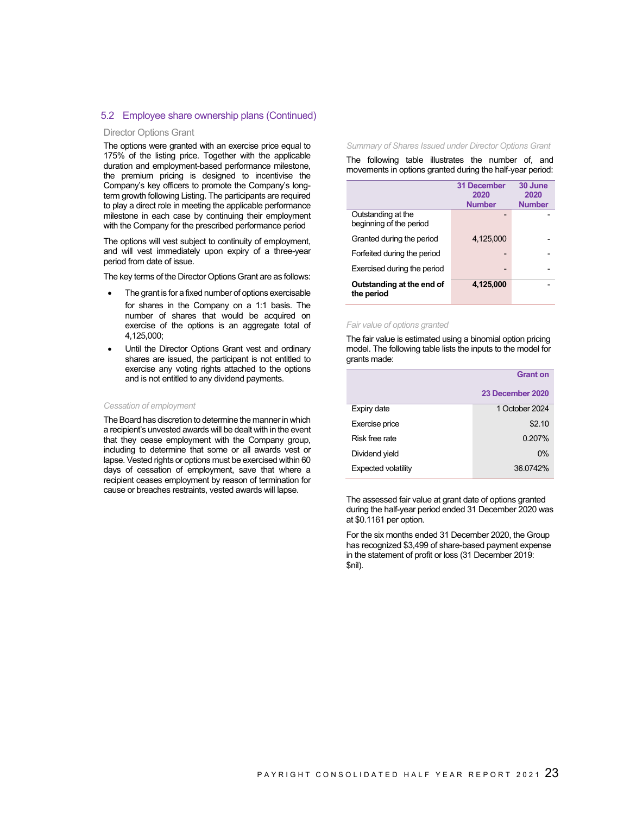#### 5.2 Employee share ownership plans (Continued)

#### Director Options Grant

The options were granted with an exercise price equal to 175% of the listing price. Together with the applicable duration and employment-based performance milestone, the premium pricing is designed to incentivise the Company's key officers to promote the Company's longterm growth following Listing. The participants are required to play a direct role in meeting the applicable performance milestone in each case by continuing their employment with the Company for the prescribed performance period

The options will vest subject to continuity of employment, and will vest immediately upon expiry of a three-year period from date of issue.

The key terms of the Director Options Grant are as follows:

- The grant is for a fixed number of options exercisable for shares in the Company on a 1:1 basis. The number of shares that would be acquired on exercise of the options is an aggregate total of 4,125,000;
- Until the Director Options Grant vest and ordinary shares are issued, the participant is not entitled to exercise any voting rights attached to the options and is not entitled to any dividend payments.

#### *Cessation of employment*

The Board has discretion to determine the manner in which a recipient's unvested awards will be dealt with in the event that they cease employment with the Company group, including to determine that some or all awards vest or lapse. Vested rights or options must be exercised within 60 days of cessation of employment, save that where a recipient ceases employment by reason of termination for cause or breaches restraints, vested awards will lapse.

#### *Summary of Shares Issued under Director Options Grant*

The following table illustrates the number of, and movements in options granted during the half-year period:

|                                               | <b>31 December</b><br>2020<br><b>Number</b> | 30 June<br>2020<br><b>Number</b> |
|-----------------------------------------------|---------------------------------------------|----------------------------------|
| Outstanding at the<br>beginning of the period |                                             |                                  |
| Granted during the period                     | 4.125.000                                   |                                  |
| Forfeited during the period                   |                                             |                                  |
| Exercised during the period                   |                                             |                                  |
| Outstanding at the end of<br>the period       | 4,125,000                                   |                                  |

#### *Fair value of options granted*

The fair value is estimated using a binomial option pricing model. The following table lists the inputs to the model for grants made:

|                     | <b>Grant on</b>  |
|---------------------|------------------|
|                     | 23 December 2020 |
| Expiry date         | 1 October 2024   |
| Exercise price      | \$2.10           |
| Risk free rate      | 0.207%           |
| Dividend yield      | 0%               |
| Expected volatility | 36.0742%         |

The assessed fair value at grant date of options granted during the half-year period ended 31 December 2020 was at \$0.1161 per option.

For the six months ended 31 December 2020, the Group has recognized \$3,499 of share-based payment expense in the statement of profit or loss (31 December 2019: \$nil).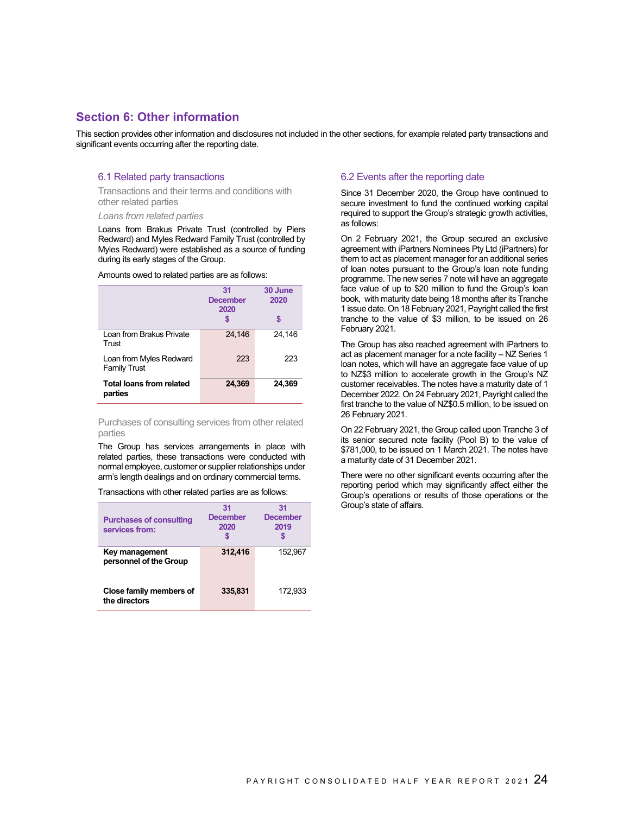## **Section 6: Other information**

This section provides other information and disclosures not included in the other sections, for example related party transactions and significant events occurring after the reporting date.

#### 6.1 Related party transactions

Transactions and their terms and conditions with other related parties

*Loans from related parties* 

Loans from Brakus Private Trust (controlled by Piers Redward) and Myles Redward Family Trust (controlled by Myles Redward) were established as a source of funding during its early stages of the Group.

Amounts owed to related parties are as follows:

|                                                | 31<br><b>December</b><br>2020 | 30 June<br>2020 |
|------------------------------------------------|-------------------------------|-----------------|
| Loan from Brakus Private<br>Trust              | 24,146                        | 24,146          |
| Loan from Myles Redward<br><b>Family Trust</b> | 223                           | 223             |
| <b>Total loans from related</b><br>parties     | 24,369                        | 24,369          |

Purchases of consulting services from other related parties

The Group has services arrangements in place with related parties, these transactions were conducted with normal employee, customer or supplier relationships under arm's length dealings and on ordinary commercial terms.

Transactions with other related parties are as follows:

| <b>Purchases of consulting</b><br>services from: | 31<br><b>December</b><br>2020 | 31<br><b>December</b><br>2019 |
|--------------------------------------------------|-------------------------------|-------------------------------|
| Key management<br>personnel of the Group         | 312,416                       | 152.967                       |
| Close family members of<br>the directors         | 335,831                       | 172.933                       |

#### 6.2 Events after the reporting date

Since 31 December 2020, the Group have continued to secure investment to fund the continued working capital required to support the Group's strategic growth activities, as follows:

On 2 February 2021, the Group secured an exclusive agreement with iPartners Nominees Pty Ltd (iPartners) for them to act as placement manager for an additional series of loan notes pursuant to the Group's loan note funding programme. The new series 7 note will have an aggregate face value of up to \$20 million to fund the Group's loan book, with maturity date being 18 months after its Tranche 1 issue date. On 18 February 2021, Payright called the first tranche to the value of \$3 million, to be issued on 26 February 2021.

The Group has also reached agreement with iPartners to act as placement manager for a note facility – NZ Series 1 loan notes, which will have an aggregate face value of up to NZ\$3 million to accelerate growth in the Group's NZ customer receivables. The notes have a maturity date of 1 December 2022. On 24 February 2021, Payright called the first tranche to the value of NZ\$0.5 million, to be issued on 26 February 2021.

On 22 February 2021, the Group called upon Tranche 3 of its senior secured note facility (Pool B) to the value of \$781,000, to be issued on 1 March 2021. The notes have a maturity date of 31 December 2021.

There were no other significant events occurring after the reporting period which may significantly affect either the Group's operations or results of those operations or the Group's state of affairs.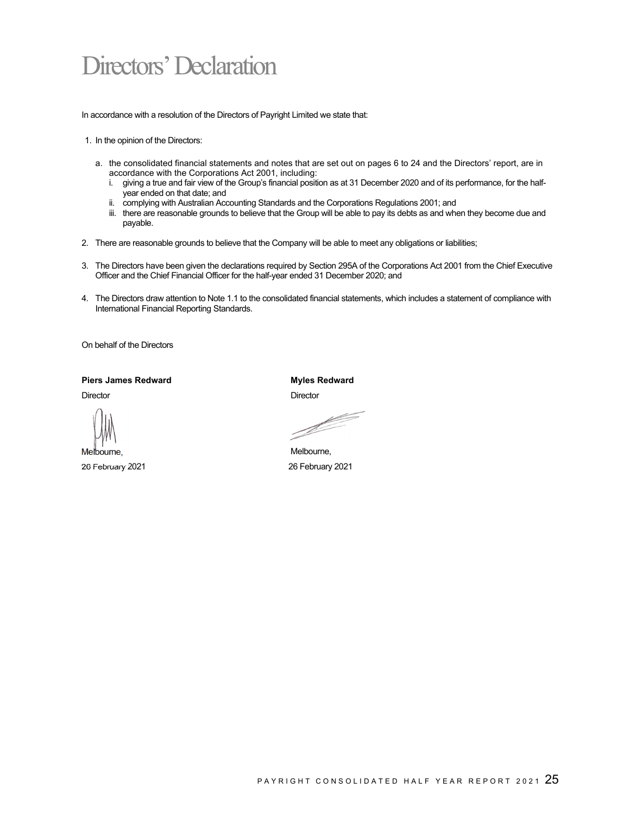# Directors' Declaration

In accordance with a resolution of the Directors of Payright Limited we state that:

- 1. In the opinion of the Directors:
	- a. the consolidated financial statements and notes that are set out on pages 6 to 24 and the Directors' report, are in accordance with the Corporations Act 2001, including:
		- i. giving a true and fair view of the Group's financial position as at 31 December 2020 and of its performance, for the halfyear ended on that date; and
		- ii. complying with Australian Accounting Standards and the Corporations Regulations 2001; and
		- iii. there are reasonable grounds to believe that the Group will be able to pay its debts as and when they become due and payable.
- 2. There are reasonable grounds to believe that the Company will be able to meet any obligations or liabilities;
- 3. The Directors have been given the declarations required by Section 295A of the Corporations Act 2001 from the Chief Executive Officer and the Chief Financial Officer for the half-year ended 31 December 2020; and
- 4. The Directors draw attention to Note 1.1 to the consolidated financial statements, which includes a statement of compliance with International Financial Reporting Standards.

On behalf of the Directors

**Piers James Redward Myles Redward Myles Redward Myles Redward Ave** 

26 February 2021 26 February 2021

Director **Director** Director

**Support of the United States of the United States of the United States of the United States of the United States of the United States of the United States of the United States of The United States of The United States of** 

Melbourne, Melbourne, Melbourne, Melbourne, Melbourne, Melbourne, Melbourne, Melbourne, Melbourne, Melbourne,  $\sim$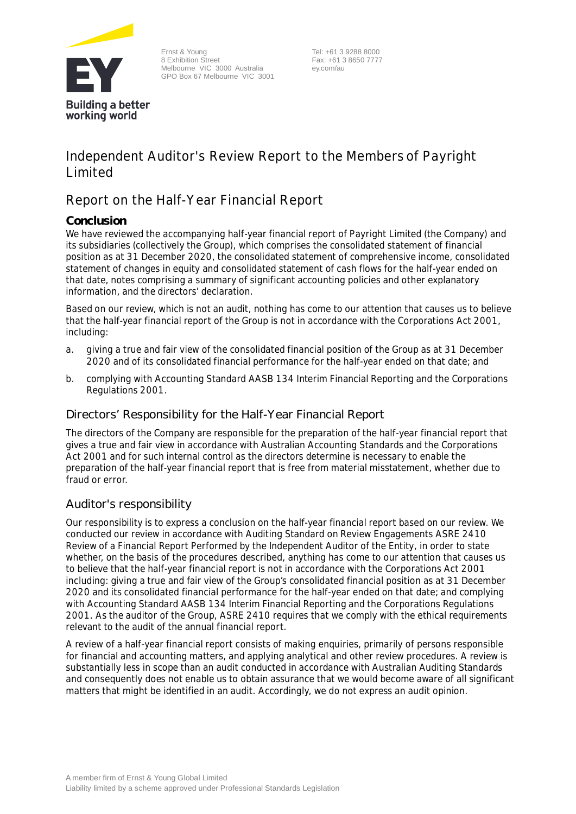

Ernst & Young 8 Exhibition Street Melbourne VIC 3000 Australia GPO Box 67 Melbourne VIC 3001  Tel: +61 3 9288 8000 Fax: +61 3 8650 7777 ey.com/au

# **Independent Auditor's Review Report to the Members of Payright Limited**

# **Report on the Half-Year Financial Report**

## **Conclusion**

We have reviewed the accompanying half-year financial report of Payright Limited (the Company) and its subsidiaries (collectively the Group), which comprises the consolidated statement of financial position as at 31 December 2020, the consolidated statement of comprehensive income, consolidated statement of changes in equity and consolidated statement of cash flows for the half-year ended on that date, notes comprising a summary of significant accounting policies and other explanatory information, and the directors' declaration.

Based on our review, which is not an audit, nothing has come to our attention that causes us to believe that the half-year financial report of the Group is not in accordance with the *Corporations Act 2001*, including:

- a. giving a true and fair view of the consolidated financial position of the Group as at 31 December 2020 and of its consolidated financial performance for the half-year ended on that date; and
- b. complying with Accounting Standard AASB 134 *Interim Financial Reporting* and the *Corporations Regulations 2001*.

## Directors' Responsibility for the Half-Year Financial Report

The directors of the Company are responsible for the preparation of the half-year financial report that gives a true and fair view in accordance with Australian Accounting Standards and the *Corporations Act 2001* and for such internal control as the directors determine is necessary to enable the preparation of the half-year financial report that is free from material misstatement, whether due to fraud or error.

## Auditor's responsibility

Our responsibility is to express a conclusion on the half-year financial report based on our review. We conducted our review in accordance with Auditing Standard on Review Engagements ASRE 2410 *Review of a Financial Report Performed by the Independent Auditor of the Entity*, in order to state whether, on the basis of the procedures described, anything has come to our attention that causes us to believe that the half-year financial report is not in accordance with the *Corporations Act 2001* including: giving a true and fair view of the Group's consolidated financial position as at 31 December 2020 and its consolidated financial performance for the half-year ended on that date; and complying with Accounting Standard AASB 134 *Interim Financial Reporting* and the *Corporations Regulations 2001*. As the auditor of the Group, ASRE 2410 requires that we comply with the ethical requirements relevant to the audit of the annual financial report.

A review of a half-year financial report consists of making enquiries, primarily of persons responsible for financial and accounting matters, and applying analytical and other review procedures. A review is substantially less in scope than an audit conducted in accordance with Australian Auditing Standards and consequently does not enable us to obtain assurance that we would become aware of all significant matters that might be identified in an audit. Accordingly, we do not express an audit opinion.